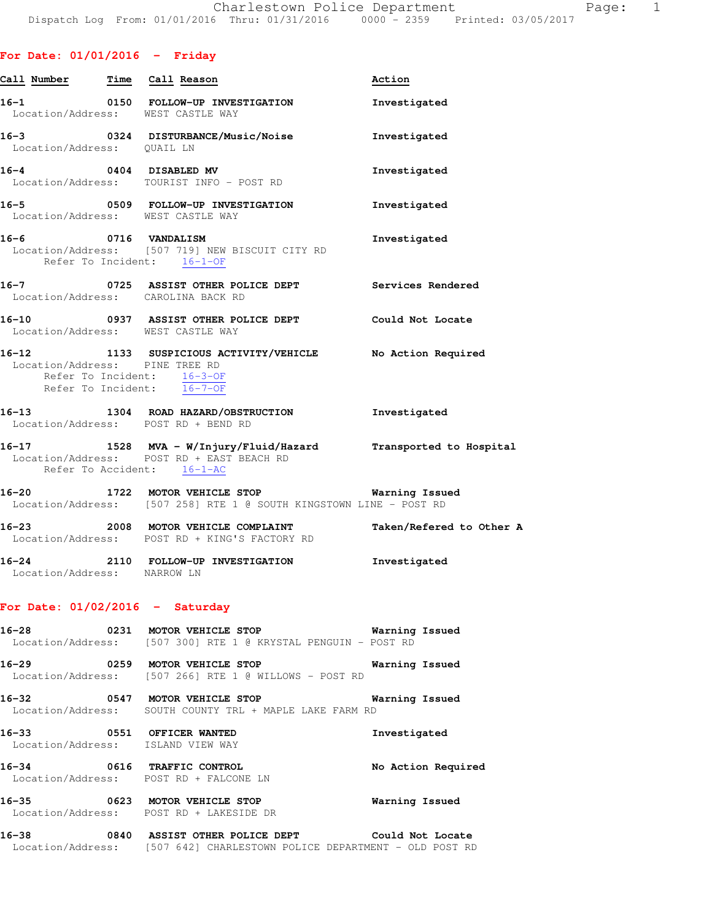| Call Number Time Call Reason                                              | $\overline{\phantom{0}}$ |                                                                                                                           | Action                |
|---------------------------------------------------------------------------|--------------------------|---------------------------------------------------------------------------------------------------------------------------|-----------------------|
|                                                                           |                          | 16-1 0150 FOLLOW-UP INVESTIGATION<br>Location/Address: WEST CASTLE WAY                                                    | Investigated          |
| Location/Address: QUAIL LN                                                |                          | 16-3 0324 DISTURBANCE/Music/Noise Investigated                                                                            |                       |
|                                                                           |                          | 16-4 0404 DISABLED MV<br>Location/Address: TOURIST INFO - POST RD                                                         | Investigated          |
|                                                                           |                          | 16-5   0509   FOLLOW-UP INVESTIGATION   Investigated<br>Location/Address: WEST CASTLE WAY                                 |                       |
|                                                                           |                          | Refer To Incident: 16-1-OF                                                                                                | Investigated          |
|                                                                           |                          | 16-7 0725 ASSIST OTHER POLICE DEPT Services Rendered<br>Location/Address: CAROLINA BACK RD                                |                       |
|                                                                           |                          | 16-10 0937 ASSIST OTHER POLICE DEPT Could Not Locate<br>Location/Address: WEST CASTLE WAY                                 |                       |
| Location/Address: PINE TREE RD<br>Refer To Incident: $\overline{16-7-OF}$ |                          | 16-12 1133 SUSPICIOUS ACTIVITY/VEHICLE No Action Required<br>Refer To Incident: 16-3-OF                                   |                       |
|                                                                           |                          | 16-13 1304 ROAD HAZARD/OBSTRUCTION 1nvestigated<br>Location/Address: POST RD + BEND RD                                    |                       |
| Refer To Accident: 16-1-AC                                                |                          | 16-17 1528 MVA - W/Injury/Fluid/Hazard Transported to Hospital<br>Location/Address: POST RD + EAST BEACH RD               |                       |
|                                                                           |                          | 16-20 1722 MOTOR VEHICLE STOP <b>Warning Issued</b><br>Location/Address: [507 258] RTE 1 @ SOUTH KINGSTOWN LINE - POST RD |                       |
|                                                                           |                          | 16-23 2008 MOTOR VEHICLE COMPLAINT Taken/Refered to Other A<br>Location/Address: POST RD + KING'S FACTORY RD              |                       |
| Location/Address: NARROW LN                                               |                          | 16-24 2110 FOLLOW-UP INVESTIGATION Investigated                                                                           |                       |
| For Date: $01/02/2016$ - Saturday                                         |                          |                                                                                                                           |                       |
|                                                                           |                          | Location/Address: [507 300] RTE 1 @ KRYSTAL PENGUIN - POST RD                                                             |                       |
| 16-29                                                                     |                          | 6-29 0259 MOTOR VEHICLE STOP<br>Location/Address: [507 266] RTE 1 @ WILLOWS - POST RD                                     | <b>Warning Issued</b> |
|                                                                           |                          | 16-32 0547 MOTOR VEHICLE STOP<br>Location/Address: SOUTH COUNTY TRL + MAPLE LAKE FARM RD                                  | Warning Issued        |
|                                                                           |                          | 16-33 0551 OFFICER WANTED<br>Location/Address: ISLAND VIEW WAY                                                            | Investigated          |
|                                                                           |                          |                                                                                                                           |                       |

**16-34 0616 TRAFFIC CONTROL No Action Required**  Location/Address: POST RD + FALCONE LN

**16-35 0623 MOTOR VEHICLE STOP Warning Issued**  Location/Address: POST RD + LAKESIDE DR

**16-38 0840 ASSIST OTHER POLICE DEPT Could Not Locate**  Location/Address: [507 642] CHARLESTOWN POLICE DEPARTMENT - OLD POST RD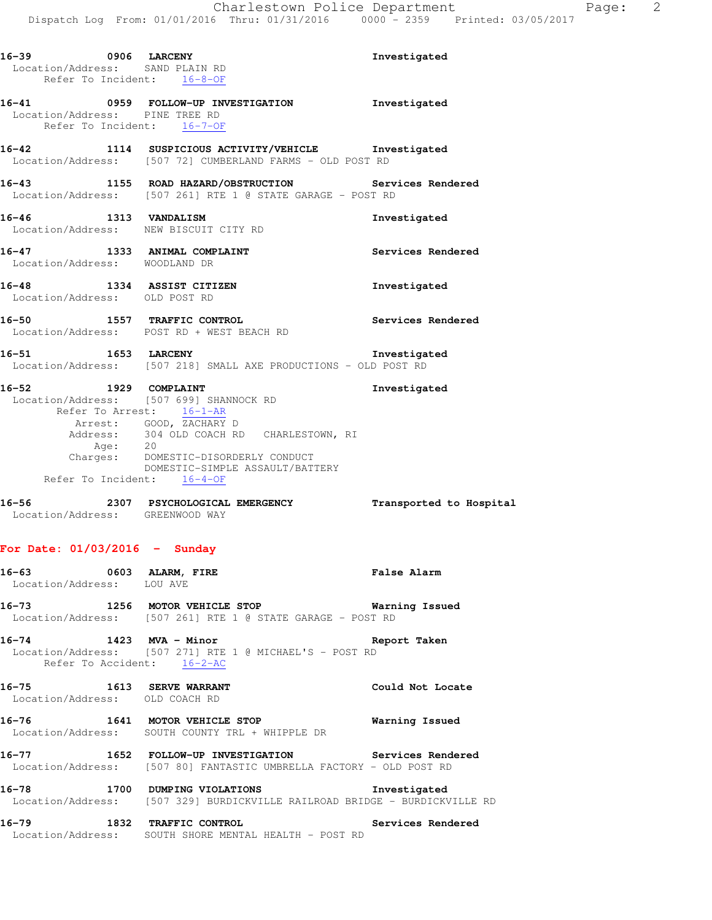| 16-39 0906 LARCENY<br>Location/Address: SAND PLAIN RD<br>Refer To Incident: 16-8-OF |         |                                                                                                                                                                                                                                                                              | Investigated      |
|-------------------------------------------------------------------------------------|---------|------------------------------------------------------------------------------------------------------------------------------------------------------------------------------------------------------------------------------------------------------------------------------|-------------------|
| Location/Address: PINE TREE RD<br>Refer To Incident: 16-7-OF                        |         | 16-41 0959 FOLLOW-UP INVESTIGATION Investigated                                                                                                                                                                                                                              |                   |
|                                                                                     |         | 16-42 1114 SUSPICIOUS ACTIVITY/VEHICLE Investigated<br>Location/Address: [507 72] CUMBERLAND FARMS - OLD POST RD                                                                                                                                                             |                   |
|                                                                                     |         | 16-43 1155 ROAD HAZARD/OBSTRUCTION Services Rendered<br>Location/Address: [507 261] RTE 1 @ STATE GARAGE - POST RD                                                                                                                                                           |                   |
|                                                                                     |         | 16-46 1313 VANDALISM<br>Location/Address: NEW BISCUIT CITY RD                                                                                                                                                                                                                | Investigated      |
| Location/Address: WOODLAND DR                                                       |         | 16-47 1333 ANIMAL COMPLAINT                                                                                                                                                                                                                                                  | Services Rendered |
| Location/Address: OLD POST RD                                                       |         | 16-48 1334 ASSIST CITIZEN                                                                                                                                                                                                                                                    | Investigated      |
|                                                                                     |         | 16-50 1557 TRAFFIC CONTROL<br>Location/Address: POST RD + WEST BEACH RD                                                                                                                                                                                                      | Services Rendered |
|                                                                                     |         | 16-51 1653 LARCENY<br>Location/Address: [507 218] SMALL AXE PRODUCTIONS - OLD POST RD                                                                                                                                                                                        | Investigated      |
|                                                                                     | Age: 20 | 16-52 1929 COMPLAINT<br>Location/Address: [507 699] SHANNOCK RD<br>Refer To Arrest: 16-1-AR<br>Arrest: GOOD, ZACHARY D<br>Address: 304 OLD COACH RD CHARLESTOWN, RI<br>Charges: DOMESTIC-DISORDERLY CONDUCT<br>DOMESTIC-SIMPLE ASSAULT/BATTERY<br>Refer To Incident: 16-4-OF | Investigated      |

**16-56 2307 PSYCHOLOGICAL EMERGENCY Transported to Hospital**  Location/Address: GREENWOOD WAY

#### **For Date: 01/03/2016 - Sunday**

| 16–63             |      | 0603 ALARM, FIRE                           | <b>False Alarm</b> |
|-------------------|------|--------------------------------------------|--------------------|
| Location/Address: |      | LOU AVE                                    |                    |
| $16 - 73$         | 1256 | MOTOR VEHICLE STOP                         | Warning Issued     |
| Location/Address: |      | $[507 261]$ RTE 1 @ STATE GARAGE - POST RD |                    |

**16-74 1423 MVA - Minor Report Taken**  Location/Address: [507 271] RTE 1 @ MICHAEL'S - POST RD

Refer To Accident: 16-2-AC

**16-75 1613 SERVE WARRANT Could Not Locate**  Location/Address: OLD COACH RD

**16-76 1641 MOTOR VEHICLE STOP Warning Issued**  Location/Address: SOUTH COUNTY TRL + WHIPPLE DR

**16-77 1652 FOLLOW-UP INVESTIGATION Services Rendered**  Location/Address: [507 80] FANTASTIC UMBRELLA FACTORY - OLD POST RD

**16-78 1700 DUMPING VIOLATIONS Investigated**  Location/Address: [507 329] BURDICKVILLE RAILROAD BRIDGE - BURDICKVILLE RD

**16-79 1832 TRAFFIC CONTROL Services Rendered**  Location/Address: SOUTH SHORE MENTAL HEALTH - POST RD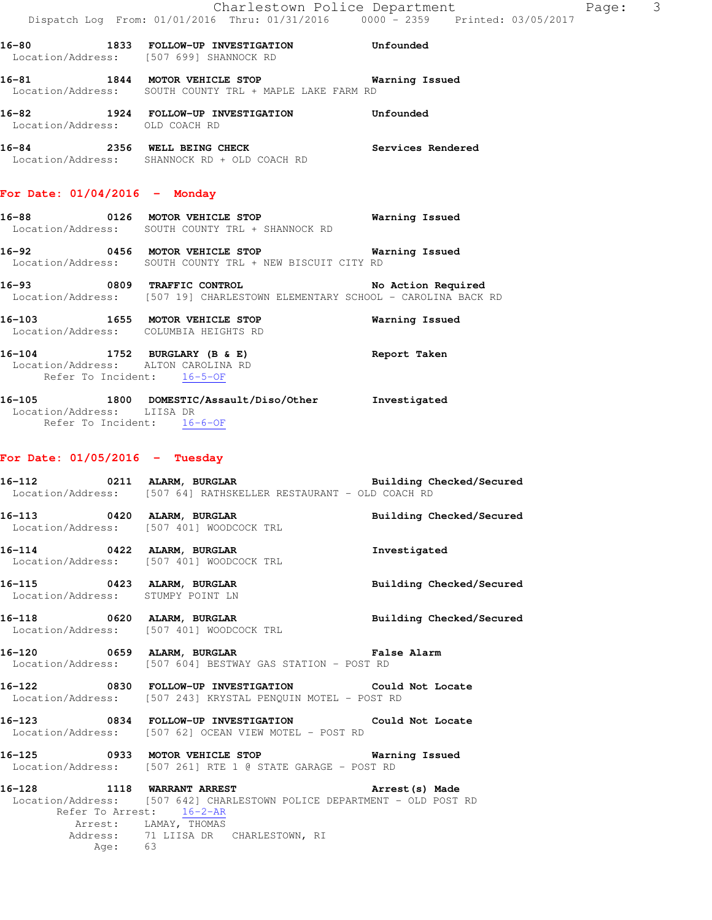**16-80 1833 FOLLOW-UP INVESTIGATION Unfounded**  Location/Address: [507 699] SHANNOCK RD **16-81 1844 MOTOR VEHICLE STOP Warning Issued** 

 Location/Address: SOUTH COUNTY TRL + MAPLE LAKE FARM RD **16-82 1924 FOLLOW-UP INVESTIGATION Unfounded** 

16-84 **2356** WELL BEING CHECK **Services** Rendered Location/Address: SHANNOCK RD + OLD COACH RD

## **For Date: 01/04/2016 - Monday**

Location/Address: OLD COACH RD

**16-88 0126 MOTOR VEHICLE STOP Warning Issued**  Location/Address: SOUTH COUNTY TRL + SHANNOCK RD

- **16-92 0456 MOTOR VEHICLE STOP Warning Issued**  Location/Address: SOUTH COUNTY TRL + NEW BISCUIT CITY RD
- **16-93 0809 TRAFFIC CONTROL No Action Required**  Location/Address: [507 19] CHARLESTOWN ELEMENTARY SCHOOL - CAROLINA BACK RD
- **16-103 1655 MOTOR VEHICLE STOP Warning Issued**  Location/Address: COLUMBIA HEIGHTS RD
- **16-104 1752 BURGLARY (B & E) Report Taken**  Location/Address: ALTON CAROLINA RD Refer To Incident: 16-5-OF

#### **16-105 1800 DOMESTIC/Assault/Diso/Other Investigated**  Location/Address: LIISA DR Refer To Incident: 16-6-OF

### **For Date: 01/05/2016 - Tuesday**

- **16-112 0211 ALARM, BURGLAR Building Checked/Secured**  Location/Address: [507 64] RATHSKELLER RESTAURANT - OLD COACH RD **16-113 0420 ALARM, BURGLAR Building Checked/Secured**  Location/Address: [507 401] WOODCOCK TRL **16-114 0422 ALARM, BURGLAR Investigated**  Location/Address: [507 401] WOODCOCK TRL
- **16-115 0423 ALARM, BURGLAR Building Checked/Secured**  Location/Address: STUMPY POINT LN
- **16-118 0620 ALARM, BURGLAR Building Checked/Secured**  Location/Address: [507 401] WOODCOCK TRL
- **16-120 0659 ALARM, BURGLAR False Alarm**  Location/Address: [507 604] BESTWAY GAS STATION - POST RD
- **16-122 0830 FOLLOW-UP INVESTIGATION Could Not Locate**  Location/Address: [507 243] KRYSTAL PENQUIN MOTEL - POST RD
- **16-123 0834 FOLLOW-UP INVESTIGATION Could Not Locate**  Location/Address: [507 62] OCEAN VIEW MOTEL - POST RD
- **16-125 0933 MOTOR VEHICLE STOP Warning Issued**  Location/Address: [507 261] RTE 1 @ STATE GARAGE - POST RD
- **16-128 1118 WARRANT ARREST Arrest(s) Made**  Location/Address: [507 642] CHARLESTOWN POLICE DEPARTMENT - OLD POST RD Refer To Arrest: 16-2-AR Arrest: LAMAY, THOMAS<br>Address: 71 LIISA DR 71 LIISA DR CHARLESTOWN, RI Age: 63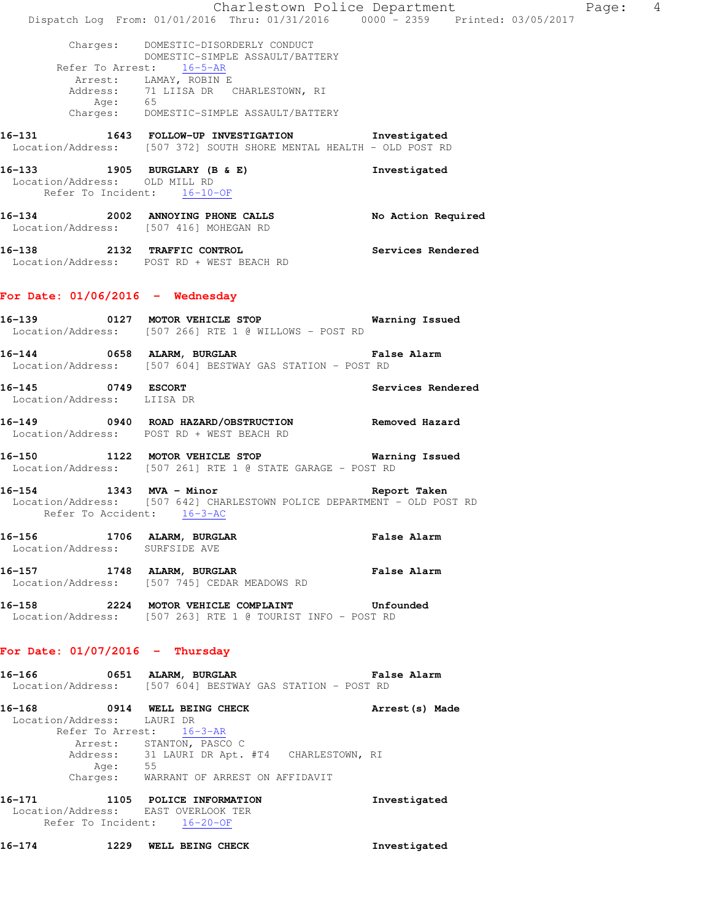| Charges: DOMESTIC-DISORDERLY CONDUCT<br>DOMESTIC-SIMPLE ASSAULT/BATTERY<br>Refer To Arrest: 16-5-AR<br>Arrest: LAMAY, ROBIN E<br>Address: 71 LIISA DR CHARLESTOWN, RI<br>Age: 65<br>Charges: DOMESTIC-SIMPLE ASSAULT/BATTERY<br>16-131 1643 FOLLOW-UP INVESTIGATION Investigated<br>Location/Address: [507 372] SOUTH SHORE MENTAL HEALTH - OLD POST RD<br>16-133 1905 BURGLARY (B & E)<br>Investigated<br>Location/Address: OLD MILL RD<br>Refer To Incident: 16-10-OF<br>16-134 2002 ANNOYING PHONE CALLS<br>No Action Required<br>Location/Address: [507 416] MOHEGAN RD<br>16-138 2132 TRAFFIC CONTROL<br>Services Rendered<br>Location/Address: POST RD + WEST BEACH RD<br>Location/Address: [507 266] RTE 1 @ WILLOWS - POST RD<br>16-144 0658 ALARM, BURGLAR CONTROLLER False Alarm<br>Location/Address: [507 604] BESTWAY GAS STATION - POST RD<br>16-145 0749 ESCORT<br>Services Rendered<br>Location/Address: LIISA DR<br>16-149 		 0940 ROAD HAZARD/OBSTRUCTION 		 Removed Hazard<br>Location/Address: POST RD + WEST BEACH RD<br>Location/Address: [507 261] RTE 1 @ STATE GARAGE - POST RD<br>16-154 1343 MVA - Minor<br>Report Taken<br>Location/Address: [507 642] CHARLESTOWN POLICE DEPARTMENT - OLD POST RD<br>Refer To Accident: 16-3-AC<br>16-156 1706 ALARM, BURGLAR<br>False Alarm<br>Location/Address: SURFSIDE AVE<br>16-157 1748 ALARM, BURGLAR<br>False Alarm<br>Location/Address: [507 745] CEDAR MEADOWS RD<br>Location/Address: [507 263] RTE 1 @ TOURIST INFO - POST RD<br>Location/Address: [507 604] BESTWAY GAS STATION - POST RD<br>16-168 0914 WELL BEING CHECK<br>Arrest (s) Made<br>Location/Address: LAURI DR<br>Refer To Arrest: 16-3-AR<br>Arrest: STANTON, PASCO C<br>Address: 31 LAURI DR Apt. #T4 CHARLESTOWN, RI<br>Age: 55<br>Charges: WARRANT OF ARREST ON AFFIDAVIT<br>16-171 1105 POLICE INFORMATION<br>Investigated<br>Location/Address: EAST OVERLOOK TER<br>Refer To Incident: 16-20-OF |  |  | Charlestown Police Department<br>Dispatch Log From: 01/01/2016 Thru: 01/31/2016 0000 - 2359 Printed: 03/05/2017 | Page: 4 |  |
|--------------------------------------------------------------------------------------------------------------------------------------------------------------------------------------------------------------------------------------------------------------------------------------------------------------------------------------------------------------------------------------------------------------------------------------------------------------------------------------------------------------------------------------------------------------------------------------------------------------------------------------------------------------------------------------------------------------------------------------------------------------------------------------------------------------------------------------------------------------------------------------------------------------------------------------------------------------------------------------------------------------------------------------------------------------------------------------------------------------------------------------------------------------------------------------------------------------------------------------------------------------------------------------------------------------------------------------------------------------------------------------------------------------------------------------------------------------------------------------------------------------------------------------------------------------------------------------------------------------------------------------------------------------------------------------------------------------------------------------------------------------------------------------------------------------------------------------------------------------------------------------------------------------------------------------------|--|--|-----------------------------------------------------------------------------------------------------------------|---------|--|
|                                                                                                                                                                                                                                                                                                                                                                                                                                                                                                                                                                                                                                                                                                                                                                                                                                                                                                                                                                                                                                                                                                                                                                                                                                                                                                                                                                                                                                                                                                                                                                                                                                                                                                                                                                                                                                                                                                                                            |  |  |                                                                                                                 |         |  |
| For Date: $01/06/2016$ - Wednesday<br>16-139 			 0127 MOTOR VEHICLE STOP 					 Warning Issued<br>16-158 2224 MOTOR VEHICLE COMPLAINT Unfounded<br>For Date: $01/07/2016$ - Thursday<br>16-166 651 ALARM, BURGLAR 16 False Alarm                                                                                                                                                                                                                                                                                                                                                                                                                                                                                                                                                                                                                                                                                                                                                                                                                                                                                                                                                                                                                                                                                                                                                                                                                                                                                                                                                                                                                                                                                                                                                                                                                                                                                                            |  |  |                                                                                                                 |         |  |
|                                                                                                                                                                                                                                                                                                                                                                                                                                                                                                                                                                                                                                                                                                                                                                                                                                                                                                                                                                                                                                                                                                                                                                                                                                                                                                                                                                                                                                                                                                                                                                                                                                                                                                                                                                                                                                                                                                                                            |  |  |                                                                                                                 |         |  |
|                                                                                                                                                                                                                                                                                                                                                                                                                                                                                                                                                                                                                                                                                                                                                                                                                                                                                                                                                                                                                                                                                                                                                                                                                                                                                                                                                                                                                                                                                                                                                                                                                                                                                                                                                                                                                                                                                                                                            |  |  |                                                                                                                 |         |  |
|                                                                                                                                                                                                                                                                                                                                                                                                                                                                                                                                                                                                                                                                                                                                                                                                                                                                                                                                                                                                                                                                                                                                                                                                                                                                                                                                                                                                                                                                                                                                                                                                                                                                                                                                                                                                                                                                                                                                            |  |  |                                                                                                                 |         |  |
|                                                                                                                                                                                                                                                                                                                                                                                                                                                                                                                                                                                                                                                                                                                                                                                                                                                                                                                                                                                                                                                                                                                                                                                                                                                                                                                                                                                                                                                                                                                                                                                                                                                                                                                                                                                                                                                                                                                                            |  |  |                                                                                                                 |         |  |
|                                                                                                                                                                                                                                                                                                                                                                                                                                                                                                                                                                                                                                                                                                                                                                                                                                                                                                                                                                                                                                                                                                                                                                                                                                                                                                                                                                                                                                                                                                                                                                                                                                                                                                                                                                                                                                                                                                                                            |  |  |                                                                                                                 |         |  |
|                                                                                                                                                                                                                                                                                                                                                                                                                                                                                                                                                                                                                                                                                                                                                                                                                                                                                                                                                                                                                                                                                                                                                                                                                                                                                                                                                                                                                                                                                                                                                                                                                                                                                                                                                                                                                                                                                                                                            |  |  |                                                                                                                 |         |  |
|                                                                                                                                                                                                                                                                                                                                                                                                                                                                                                                                                                                                                                                                                                                                                                                                                                                                                                                                                                                                                                                                                                                                                                                                                                                                                                                                                                                                                                                                                                                                                                                                                                                                                                                                                                                                                                                                                                                                            |  |  |                                                                                                                 |         |  |
|                                                                                                                                                                                                                                                                                                                                                                                                                                                                                                                                                                                                                                                                                                                                                                                                                                                                                                                                                                                                                                                                                                                                                                                                                                                                                                                                                                                                                                                                                                                                                                                                                                                                                                                                                                                                                                                                                                                                            |  |  |                                                                                                                 |         |  |
|                                                                                                                                                                                                                                                                                                                                                                                                                                                                                                                                                                                                                                                                                                                                                                                                                                                                                                                                                                                                                                                                                                                                                                                                                                                                                                                                                                                                                                                                                                                                                                                                                                                                                                                                                                                                                                                                                                                                            |  |  |                                                                                                                 |         |  |
|                                                                                                                                                                                                                                                                                                                                                                                                                                                                                                                                                                                                                                                                                                                                                                                                                                                                                                                                                                                                                                                                                                                                                                                                                                                                                                                                                                                                                                                                                                                                                                                                                                                                                                                                                                                                                                                                                                                                            |  |  |                                                                                                                 |         |  |
|                                                                                                                                                                                                                                                                                                                                                                                                                                                                                                                                                                                                                                                                                                                                                                                                                                                                                                                                                                                                                                                                                                                                                                                                                                                                                                                                                                                                                                                                                                                                                                                                                                                                                                                                                                                                                                                                                                                                            |  |  |                                                                                                                 |         |  |
|                                                                                                                                                                                                                                                                                                                                                                                                                                                                                                                                                                                                                                                                                                                                                                                                                                                                                                                                                                                                                                                                                                                                                                                                                                                                                                                                                                                                                                                                                                                                                                                                                                                                                                                                                                                                                                                                                                                                            |  |  |                                                                                                                 |         |  |
|                                                                                                                                                                                                                                                                                                                                                                                                                                                                                                                                                                                                                                                                                                                                                                                                                                                                                                                                                                                                                                                                                                                                                                                                                                                                                                                                                                                                                                                                                                                                                                                                                                                                                                                                                                                                                                                                                                                                            |  |  |                                                                                                                 |         |  |
|                                                                                                                                                                                                                                                                                                                                                                                                                                                                                                                                                                                                                                                                                                                                                                                                                                                                                                                                                                                                                                                                                                                                                                                                                                                                                                                                                                                                                                                                                                                                                                                                                                                                                                                                                                                                                                                                                                                                            |  |  |                                                                                                                 |         |  |
|                                                                                                                                                                                                                                                                                                                                                                                                                                                                                                                                                                                                                                                                                                                                                                                                                                                                                                                                                                                                                                                                                                                                                                                                                                                                                                                                                                                                                                                                                                                                                                                                                                                                                                                                                                                                                                                                                                                                            |  |  |                                                                                                                 |         |  |
|                                                                                                                                                                                                                                                                                                                                                                                                                                                                                                                                                                                                                                                                                                                                                                                                                                                                                                                                                                                                                                                                                                                                                                                                                                                                                                                                                                                                                                                                                                                                                                                                                                                                                                                                                                                                                                                                                                                                            |  |  |                                                                                                                 |         |  |
|                                                                                                                                                                                                                                                                                                                                                                                                                                                                                                                                                                                                                                                                                                                                                                                                                                                                                                                                                                                                                                                                                                                                                                                                                                                                                                                                                                                                                                                                                                                                                                                                                                                                                                                                                                                                                                                                                                                                            |  |  |                                                                                                                 |         |  |
|                                                                                                                                                                                                                                                                                                                                                                                                                                                                                                                                                                                                                                                                                                                                                                                                                                                                                                                                                                                                                                                                                                                                                                                                                                                                                                                                                                                                                                                                                                                                                                                                                                                                                                                                                                                                                                                                                                                                            |  |  |                                                                                                                 |         |  |
|                                                                                                                                                                                                                                                                                                                                                                                                                                                                                                                                                                                                                                                                                                                                                                                                                                                                                                                                                                                                                                                                                                                                                                                                                                                                                                                                                                                                                                                                                                                                                                                                                                                                                                                                                                                                                                                                                                                                            |  |  |                                                                                                                 |         |  |
|                                                                                                                                                                                                                                                                                                                                                                                                                                                                                                                                                                                                                                                                                                                                                                                                                                                                                                                                                                                                                                                                                                                                                                                                                                                                                                                                                                                                                                                                                                                                                                                                                                                                                                                                                                                                                                                                                                                                            |  |  |                                                                                                                 |         |  |

**16-174 1229 WELL BEING CHECK Investigated**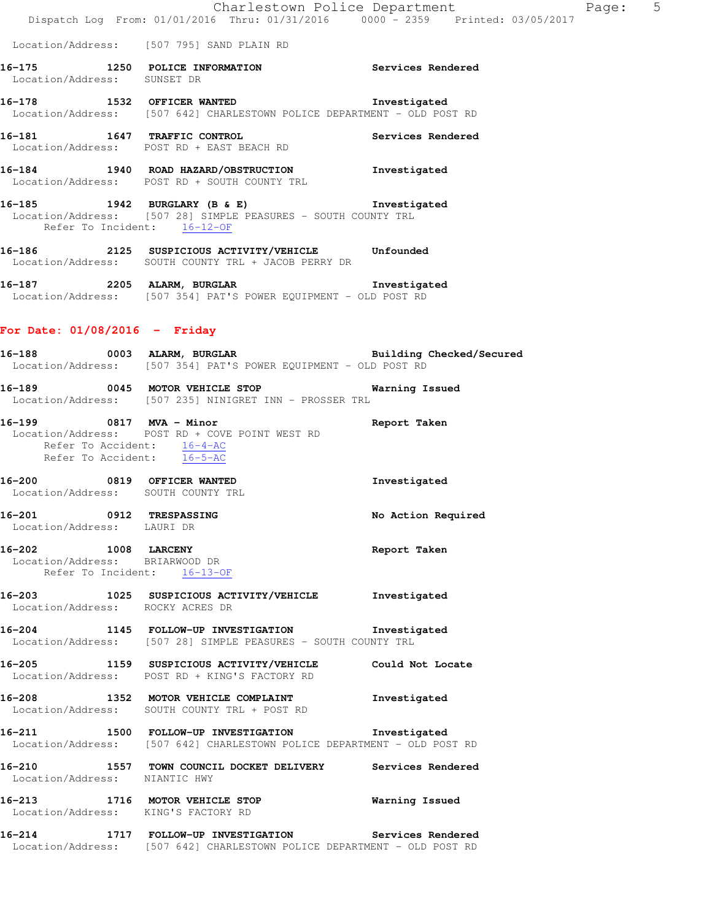- **16-175 1250 POLICE INFORMATION Services Rendered**  Location/Address: SUNSET DR
- **16-178 1532 OFFICER WANTED Investigated**  Location/Address: [507 642] CHARLESTOWN POLICE DEPARTMENT - OLD POST RD
- **16-181 1647 TRAFFIC CONTROL Services Rendered**  Location/Address: POST RD + EAST BEACH RD
- **16-184 1940 ROAD HAZARD/OBSTRUCTION Investigated**  Location/Address: POST RD + SOUTH COUNTY TRL
- **16-185 1942 BURGLARY (B & E) Investigated**  Location/Address: [507 28] SIMPLE PEASURES - SOUTH COUNTY TRL Refer To Incident: 16-12-OF
- **16-186 2125 SUSPICIOUS ACTIVITY/VEHICLE Unfounded**  Location/Address: SOUTH COUNTY TRL + JACOB PERRY DR
- **16-187 2205 ALARM, BURGLAR Investigated**  Location/Address: [507 354] PAT'S POWER EQUIPMENT - OLD POST RD

# **For Date: 01/08/2016 - Friday**

**16-188 0003 ALARM, BURGLAR Building Checked/Secured**  Location/Address: [507 354] PAT'S POWER EQUIPMENT - OLD POST RD **16-189 0045 MOTOR VEHICLE STOP Warning Issued**  Location/Address: [507 235] NINIGRET INN - PROSSER TRL **16-199 0817 MVA - Minor Report Taken**  Location/Address: POST RD + COVE POINT WEST RD Refer To Accident: 16-4-AC Refer To Accident: 16-5-AC **16-200 0819 OFFICER WANTED Investigated**  Location/Address: SOUTH COUNTY TRL **16-201 0912 TRESPASSING No Action Required**  Location/Address: LAURI DR **16-202 1008 LARCENY Report Taken**  Location/Address: BRIARWOOD DR Refer To Incident: 16-13-OF **16-203 1025 SUSPICIOUS ACTIVITY/VEHICLE Investigated**  Location/Address: ROCKY ACRES DR **16-204 1145 FOLLOW-UP INVESTIGATION Investigated**  Location/Address: [507 28] SIMPLE PEASURES - SOUTH COUNTY TRL **16-205 1159 SUSPICIOUS ACTIVITY/VEHICLE Could Not Locate**  Location/Address: POST RD + KING'S FACTORY RD **16-208 1352 MOTOR VEHICLE COMPLAINT Investigated**  Location/Address: SOUTH COUNTY TRL + POST RD **16-211 1500 FOLLOW-UP INVESTIGATION Investigated**  Location/Address: [507 642] CHARLESTOWN POLICE DEPARTMENT - OLD POST RD **16-210 1557 TOWN COUNCIL DOCKET DELIVERY Services Rendered**  Location/Address: NIANTIC HWY **16-213 1716 MOTOR VEHICLE STOP Warning Issued**  Location/Address: KING'S FACTORY RD **16-214 1717 FOLLOW-UP INVESTIGATION Services Rendered**  Location/Address: [507 642] CHARLESTOWN POLICE DEPARTMENT - OLD POST RD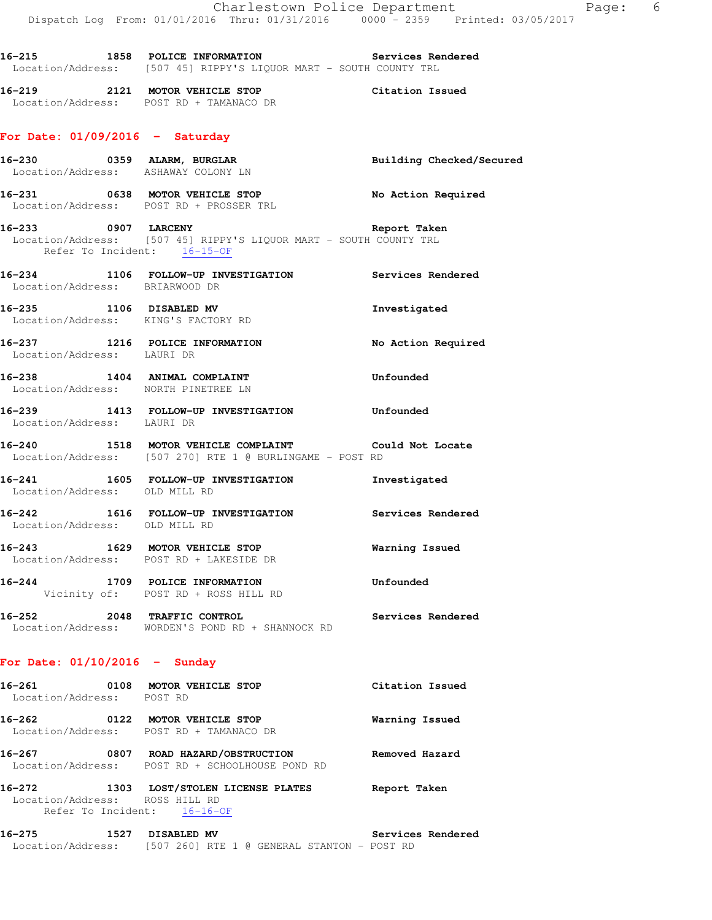**16-215 1858 POLICE INFORMATION Services Rendered**  Location/Address: [507 45] RIPPY'S LIQUOR MART - SOUTH COUNTY TRL

**16-219 2121 MOTOR VEHICLE STOP Citation Issued**  Location/Address: POST RD + TAMANACO DR

### **For Date: 01/09/2016 - Saturday**

- **16-230 0359 ALARM, BURGLAR Building Checked/Secured**  Location/Address: ASHAWAY COLONY LN **16-231 0638 MOTOR VEHICLE STOP No Action Required**  Location/Address: POST RD + PROSSER TRL
- **16-233 0907 LARCENY Report Taken**  Location/Address: [507 45] RIPPY'S LIQUOR MART - SOUTH COUNTY TRL Refer To Incident: 16-15-OF
- **16-234 1106 FOLLOW-UP INVESTIGATION Services Rendered**  Location/Address: BRIARWOOD DR
- **16-235 1106 DISABLED MV Investigated**  Location/Address: KING'S FACTORY RD
- **16-237 1216 POLICE INFORMATION No Action Required**  Location/Address: LAURI DR
- **16-238 1404 ANIMAL COMPLAINT Unfounded**  Location/Address: NORTH PINETREE LN
- **16-239 1413 FOLLOW-UP INVESTIGATION Unfounded**  Location/Address: LAURI DR
- **16-240 1518 MOTOR VEHICLE COMPLAINT Could Not Locate**  Location/Address: [507 270] RTE 1 @ BURLINGAME - POST RD
- **16-241 1605 FOLLOW-UP INVESTIGATION Investigated**  Location/Address: OLD MILL RD
- **16-242 1616 FOLLOW-UP INVESTIGATION Services Rendered**  Location/Address: OLD MILL RD
- **16-243 1629 MOTOR VEHICLE STOP Warning Issued**  Location/Address: POST RD + LAKESIDE DR
- **16-244 1709 POLICE INFORMATION Unfounded**  Vicinity of: POST RD + ROSS HILL RD
- **16-252 2048 TRAFFIC CONTROL Services Rendered**  Location/Address: WORDEN'S POND RD + SHANNOCK RD

### **For Date: 01/10/2016 - Sunday**

| 16-261<br>0108<br>Location/Address:              | MOTOR VEHICLE STOP<br>POST RD                                              | Citation Issued |
|--------------------------------------------------|----------------------------------------------------------------------------|-----------------|
| 16–262<br>0122                                   | MOTOR VEHICLE STOP<br>Location/Address: POST RD + TAMANACO DR              | Warning Issued  |
| 16-267<br>0807                                   | ROAD HAZARD/OBSTRUCTION<br>Location/Address: POST RD + SCHOOLHOUSE POND RD | Removed Hazard  |
| 16–272<br>1303<br>Location/Address: ROSS HILL RD | LOST/STOLEN LICENSE PLATES<br>Refer To Incident: 16-16-OF                  | Report Taken    |

| 16–275            | 1527 DISABLED MV |  |  |                                             |  |  | Services Rendered |
|-------------------|------------------|--|--|---------------------------------------------|--|--|-------------------|
| Location/Address: |                  |  |  | [507 260] RTE 1 @ GENERAL STANTON - POST RD |  |  |                   |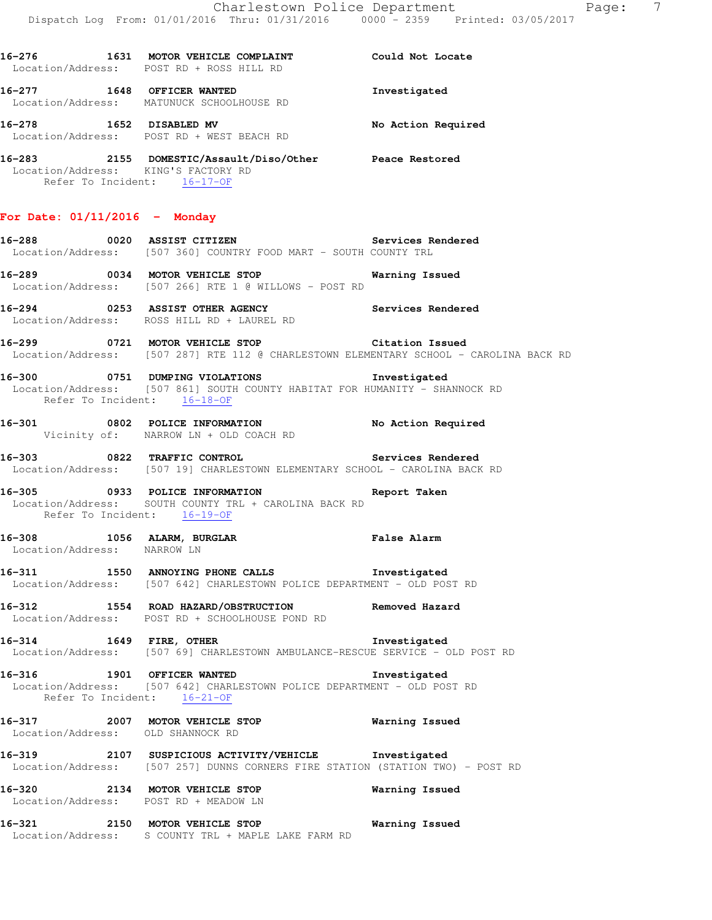|                                                                    | 16-276 1631 MOTOR VEHICLE COMPLAINT Could Not Locate<br>Location/Address: POST RD + ROSS HILL RD                                         |                    |
|--------------------------------------------------------------------|------------------------------------------------------------------------------------------------------------------------------------------|--------------------|
|                                                                    | 16-277 1648 OFFICER WANTED<br>Location/Address: MATUNUCK SCHOOLHOUSE RD                                                                  | Investigated       |
|                                                                    | 16-278 1652 DISABLED MV<br>Location/Address: POST RD + WEST BEACH RD                                                                     | No Action Required |
| Location/Address: KING'S FACTORY RD<br>Refer To Incident: 16-17-OF | 16-283 2155 DOMESTIC/Assault/Diso/Other Peace Restored                                                                                   |                    |
| For Date: $01/11/2016$ - Monday                                    |                                                                                                                                          |                    |
|                                                                    | -<br>16-288 16-288 0020 ASSIST CITIZEN 16-288 Services Rendered<br>Location/Address: [507 360] COUNTRY FOOD MART - SOUTH COUNTY TRL      |                    |
|                                                                    | 16-289 0034 MOTOR VEHICLE STOP Warning Issued<br>Location/Address: [507 266] RTE 1 @ WILLOWS - POST RD                                   |                    |
|                                                                    | 16-294 0253 ASSIST OTHER AGENCY Services Rendered<br>Location/Address: ROSS HILL RD + LAUREL RD                                          |                    |
|                                                                    | 16-299 0721 MOTOR VEHICLE STOP Citation Issued<br>Location/Address: [507 287] RTE 112 @ CHARLESTOWN ELEMENTARY SCHOOL - CAROLINA BACK RD |                    |
| Refer To Incident: 16-18-OF                                        | 16-300 0751 DUMPING VIOLATIONS 16-300 Investigated<br>Location/Address: [507 861] SOUTH COUNTY HABITAT FOR HUMANITY - SHANNOCK RD        |                    |
|                                                                    | 16-301 0802 POLICE INFORMATION No Action Required<br>Vicinity of: NARROW LN + OLD COACH RD                                               |                    |
|                                                                    | 16-303 0822 TRAFFIC CONTROL Services Rendered<br>Location/Address: [507 19] CHARLESTOWN ELEMENTARY SCHOOL - CAROLINA BACK RD             |                    |
| Refer To Incident: 16-19-OF                                        | 16-305 0933 POLICE INFORMATION Report Taken<br>Location/Address: SOUTH COUNTY TRL + CAROLINA BACK RD                                     |                    |
| Location/Address: NARROW LN                                        | 16-308 1056 ALARM, BURGLAR False Alarm<br>Location/Address: NARROW LN                                                                    |                    |
|                                                                    | 16-311 1550 ANNOYING PHONE CALLS 1nvestigated<br>Location/Address: [507 642] CHARLESTOWN POLICE DEPARTMENT - OLD POST RD                 |                    |
|                                                                    | 16-312 1554 ROAD HAZARD/OBSTRUCTION Removed Hazard<br>Location/Address: POST RD + SCHOOLHOUSE POND RD                                    |                    |
| 16-314 1649 FIRE, OTHER                                            | Location/Address: [507 69] CHARLESTOWN AMBULANCE-RESCUE SERVICE - OLD POST RD                                                            | Investigated       |
|                                                                    | 16-316 1901 OFFICER WANTED<br>Location/Address: [507 642] CHARLESTOWN POLICE DEPARTMENT - OLD POST RD<br>Refer To Incident: 16-21-OF     | Investigated       |
| Location/Address: OLD SHANNOCK RD                                  | 16-317 2007 MOTOR VEHICLE STOP                                                                                                           | Warning Issued     |
|                                                                    | 16-319 107 SUSPICIOUS ACTIVITY/VEHICLE Investigated<br>Location/Address: [507 257] DUNNS CORNERS FIRE STATION (STATION TWO) - POST RD    |                    |
|                                                                    | 16-320 2134 MOTOR VEHICLE STOP<br>Location/Address: POST RD + MEADOW LN                                                                  | Warning Issued     |
|                                                                    | 16-321 2150 MOTOR VEHICLE STOP<br>Location/Address: S COUNTY TRL + MAPLE LAKE FARM RD                                                    | Warning Issued     |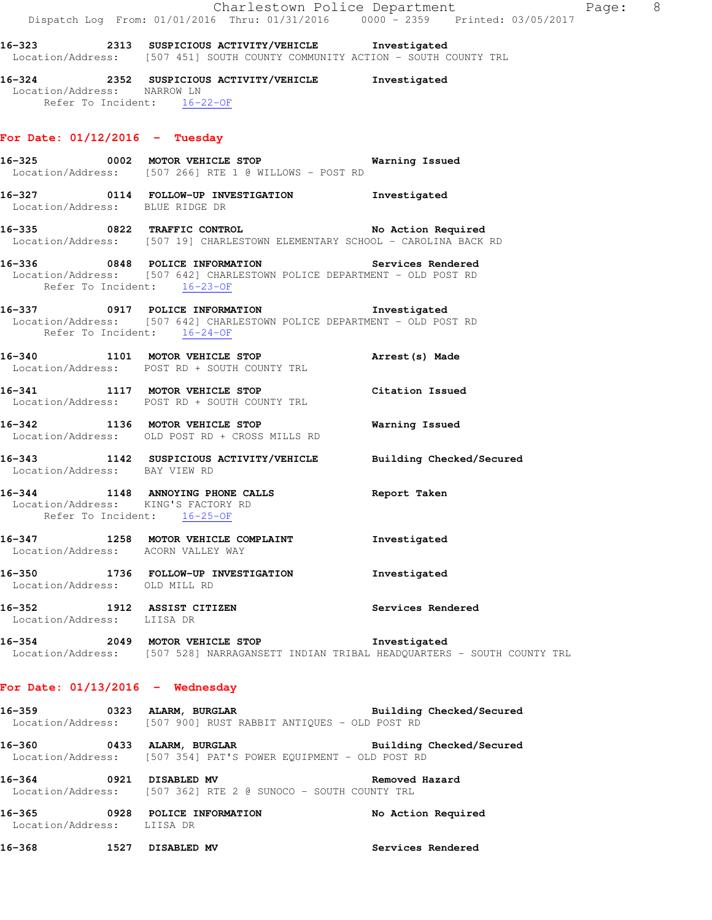|                               |                                                                                                                                                       | Charlestown Police Department<br>Page: 8<br>Dispatch Log From: 01/01/2016 Thru: 01/31/2016 0000 <sup>-</sup> 2359 Printed: 03/05/2017 |  |
|-------------------------------|-------------------------------------------------------------------------------------------------------------------------------------------------------|---------------------------------------------------------------------------------------------------------------------------------------|--|
|                               | Location/Address: [507 451] SOUTH COUNTY COMMUNITY ACTION - SOUTH COUNTY TRL                                                                          |                                                                                                                                       |  |
| Location/Address: NARROW LN   | 16-324 2352 SUSPICIOUS ACTIVITY/VEHICLE Investigated<br>Refer To Incident: 16-22-OF                                                                   |                                                                                                                                       |  |
|                               | For Date: $01/12/2016$ - Tuesday                                                                                                                      |                                                                                                                                       |  |
|                               | 16-325 0002 MOTOR VEHICLE STOP 6 Warning Issued<br>Location/Address: [507 266] RTE 1 @ WILLOWS - POST RD                                              |                                                                                                                                       |  |
|                               | 16-327 0114 FOLLOW-UP INVESTIGATION Investigated<br>Location/Address: BLUE RIDGE DR                                                                   |                                                                                                                                       |  |
|                               | 16-335 0822 TRAFFIC CONTROL No Action Required<br>Location/Address: [507 19] CHARLESTOWN ELEMENTARY SCHOOL - CAROLINA BACK RD                         |                                                                                                                                       |  |
|                               | Location/Address: [507 642] CHARLESTOWN POLICE DEPARTMENT - OLD POST RD<br>Refer To Incident: 16-23-OF                                                |                                                                                                                                       |  |
|                               | 16-337 0917 POLICE INFORMATION Investigated<br>Location/Address: [507 642] CHARLESTOWN POLICE DEPARTMENT - OLD POST RD<br>Refer To Incident: 16-24-OF |                                                                                                                                       |  |
|                               | 16-340 1101 MOTOR VEHICLE STOP<br>Location/Address: POST RD + SOUTH COUNTY TRL                                                                        | Arrest(s) Made                                                                                                                        |  |
|                               | 16-341 1117 MOTOR VEHICLE STOP<br>Location/Address: POST RD + SOUTH COUNTY TRL                                                                        | Citation Issued                                                                                                                       |  |
|                               | 16-342 1136 MOTOR VEHICLE STOP<br>Location/Address: OLD POST RD + CROSS MILLS RD                                                                      | Warning Issued                                                                                                                        |  |
| Location/Address: BAY VIEW RD | 16-343 1142 SUSPICIOUS ACTIVITY/VEHICLE Building Checked/Secured                                                                                      |                                                                                                                                       |  |
|                               | 16-344 1148 ANNOYING PHONE CALLS<br>Location/Address: KING'S FACTORY RD<br>Refer To Incident: 16-25-OF                                                | Report Taken                                                                                                                          |  |
|                               | 16-347 1258 MOTOR VEHICLE COMPLAINT<br>Location/Address: ACORN VALLEY WAY                                                                             | Investigated                                                                                                                          |  |
| Location/Address: OLD MILL RD | 16-350 1736 FOLLOW-UP INVESTIGATION 1nvestigated                                                                                                      |                                                                                                                                       |  |
|                               | 16-352 1912 ASSIST CITIZEN<br>Location/Address: LIISA DR                                                                                              | Services Rendered                                                                                                                     |  |
|                               | 16-354 2049 MOTOR VEHICLE STOP 1nvestigated                                                                                                           | Location/Address: [507 528] NARRAGANSETT INDIAN TRIBAL HEADQUARTERS - SOUTH COUNTY TRL                                                |  |
|                               | For Date: $01/13/2016$ - Wednesday                                                                                                                    |                                                                                                                                       |  |
|                               | 16-359 0323 ALARM, BURGLAR BURGER Building Checked/Secured<br>Location/Address: [507 900] RUST RABBIT ANTIQUES - OLD POST RD                          |                                                                                                                                       |  |
|                               | 16-360 0433 ALARM, BURGLAR Building Checked/Secured<br>Location/Address: [507 354] PAT'S POWER EQUIPMENT - OLD POST RD                                |                                                                                                                                       |  |
|                               | 16-364 0921 DISABLED MV<br>Location/Address: [507 362] RTE 2 @ SUNOCO - SOUTH COUNTY TRL                                                              | Removed Hazard                                                                                                                        |  |
| Location/Address: LIISA DR    | 16-365 0928 POLICE INFORMATION                                                                                                                        | No Action Required                                                                                                                    |  |
|                               | 16-368 1527 DISABLED MV                                                                                                                               | Services Rendered                                                                                                                     |  |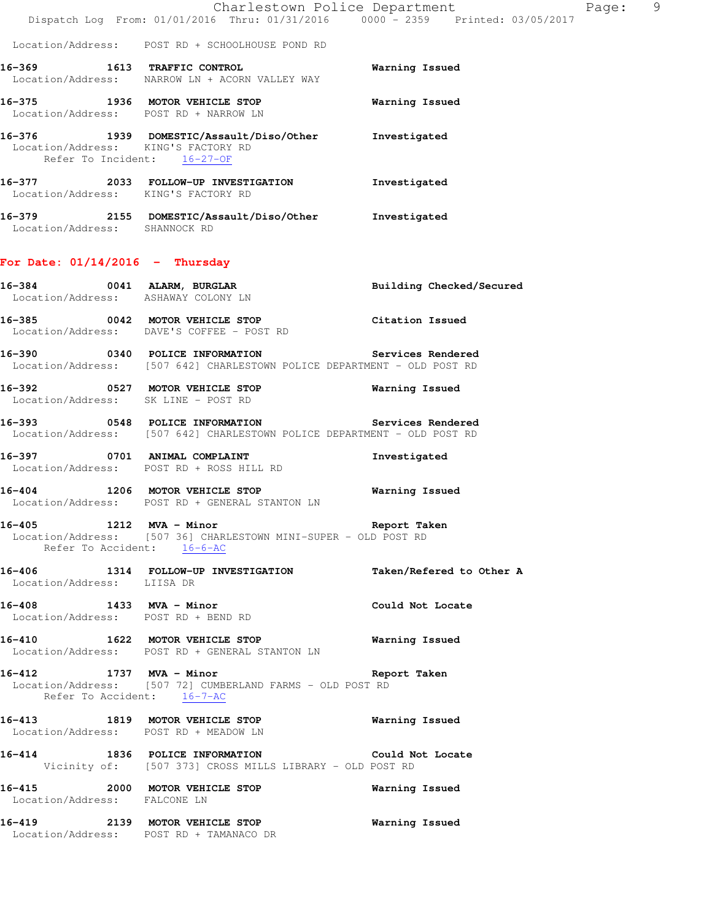|                                                                    | Dispatch Log From: 01/01/2016 Thru: 01/31/2016 0000 - 2359 Printed: 03/05/2017                                              | Charlestown Police Department<br>Page: 9 |  |
|--------------------------------------------------------------------|-----------------------------------------------------------------------------------------------------------------------------|------------------------------------------|--|
|                                                                    | Location/Address: POST RD + SCHOOLHOUSE POND RD                                                                             |                                          |  |
|                                                                    | 16-369 1613 TRAFFIC CONTROL<br>Location/Address: NARROW LN + ACORN VALLEY WAY                                               | Warning Issued                           |  |
| Location/Address: POST RD + NARROW LN                              | 16-375 1936 MOTOR VEHICLE STOP                                                                                              | Warning Issued                           |  |
| Location/Address: KING'S FACTORY RD<br>Refer To Incident: 16-27-OF | 16-376 1939 DOMESTIC/Assault/Diso/Other Investigated                                                                        |                                          |  |
| Location/Address: KING'S FACTORY RD                                | 16-377 2033 FOLLOW-UP INVESTIGATION Investigated                                                                            |                                          |  |
| Location/Address: SHANNOCK RD                                      | 16-379 2155 DOMESTIC/Assault/Diso/Other Investigated                                                                        |                                          |  |
| For Date: $01/14/2016$ - Thursday                                  |                                                                                                                             |                                          |  |
| Location/Address: ASHAWAY COLONY LN                                | 16-384 0041 ALARM, BURGLAR                                                                                                  | Building Checked/Secured                 |  |
|                                                                    | 16-385 0042 MOTOR VEHICLE STOP<br>Location/Address: DAVE'S COFFEE - POST RD                                                 | Citation Issued                          |  |
|                                                                    | Location/Address: [507 642] CHARLESTOWN POLICE DEPARTMENT - OLD POST RD                                                     |                                          |  |
|                                                                    | 16-392 			 0527 MOTOR VEHICLE STOP 						 Warning Issued<br>Location/Address: SK LINE - POST RD                             |                                          |  |
|                                                                    | 16-393 0548 POLICE INFORMATION Services Rendered<br>Location/Address: [507 642] CHARLESTOWN POLICE DEPARTMENT - OLD POST RD |                                          |  |
|                                                                    | 16-397 0701 ANIMAL COMPLAINT<br>Location/Address: POST RD + ROSS HILL RD                                                    | Investigated                             |  |
|                                                                    | 16-404 1206 MOTOR VEHICLE STOP<br>Location/Address: POST RD + GENERAL STANTON LN                                            | Warning Issued                           |  |
| Refer To Accident: 16-6-AC                                         | 16-405 1212 MVA - Minor Changes of Report Taken<br>Location/Address: [507 36] CHARLESTOWN MINI-SUPER - OLD POST RD          |                                          |  |
| Location/Address: LIISA DR                                         | 16-406 1314 FOLLOW-UP INVESTIGATION Taken/Refered to Other A                                                                |                                          |  |
| 16-408 1433 MVA - Minor                                            | Location/Address: POST RD + BEND RD                                                                                         | Could Not Locate                         |  |
|                                                                    | 16-410 1622 MOTOR VEHICLE STOP<br>Location/Address: POST RD + GENERAL STANTON LN                                            | Warning Issued                           |  |
| 16-412 1737 MVA - Minor<br>Refer To Accident: 16-7-AC              | Location/Address: [507 72] CUMBERLAND FARMS - OLD POST RD                                                                   | Report Taken                             |  |
| Location/Address: POST RD + MEADOW LN                              | 16-413 1819 MOTOR VEHICLE STOP                                                                                              | Warning Issued                           |  |
|                                                                    | 16-414 1836 POLICE INFORMATION Could Not Locate<br>Vicinity of: [507 373] CROSS MILLS LIBRARY - OLD POST RD                 |                                          |  |
| Location/Address: FALCONE LN                                       | 16-415 2000 MOTOR VEHICLE STOP                                                                                              | Warning Issued                           |  |
|                                                                    | 16-419 2139 MOTOR VEHICLE STOP<br>Location/Address: POST RD + TAMANACO DR                                                   | Warning Issued                           |  |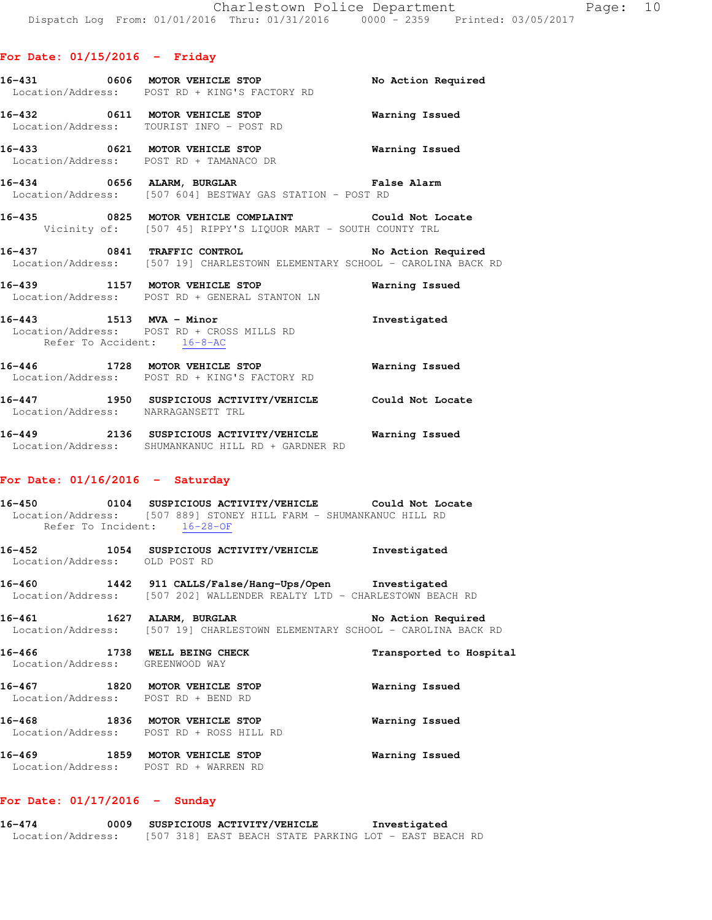## **For Date: 01/15/2016 - Friday**

- **16-431 0606 MOTOR VEHICLE STOP No Action Required**  Location/Address: POST RD + KING'S FACTORY RD
- **16-432 0611 MOTOR VEHICLE STOP Warning Issued**  Location/Address: TOURIST INFO - POST RD
- **16-433 0621 MOTOR VEHICLE STOP Warning Issued**  Location/Address: POST RD + TAMANACO DR
- **16-434 0656 ALARM, BURGLAR False Alarm**  Location/Address: [507 604] BESTWAY GAS STATION - POST RD
- **16-435 0825 MOTOR VEHICLE COMPLAINT Could Not Locate**  Vicinity of: [507 45] RIPPY'S LIQUOR MART - SOUTH COUNTY TRL
- **16-437 0841 TRAFFIC CONTROL No Action Required**  Location/Address: [507 19] CHARLESTOWN ELEMENTARY SCHOOL - CAROLINA BACK RD
- **16-439 1157 MOTOR VEHICLE STOP Warning Issued**  Location/Address: POST RD + GENERAL STANTON LN
- **16-443 1513 MVA Minor Investigated**  Location/Address: POST RD + CROSS MILLS RD Refer To Accident: 16-8-AC
- **16-446 1728 MOTOR VEHICLE STOP Warning Issued**  Location/Address: POST RD + KING'S FACTORY RD **16-447 1950 SUSPICIOUS ACTIVITY/VEHICLE Could Not Locate**
- Location/Address: NARRAGANSETT TRL
- **16-449 2136 SUSPICIOUS ACTIVITY/VEHICLE Warning Issued**  Location/Address: SHUMANKANUC HILL RD + GARDNER RD

## **For Date: 01/16/2016 - Saturday**

- **16-450 0104 SUSPICIOUS ACTIVITY/VEHICLE Could Not Locate**  Location/Address: [507 889] STONEY HILL FARM - SHUMANKANUC HILL RD Refer To Incident: 16-28-OF
- **16-452 1054 SUSPICIOUS ACTIVITY/VEHICLE Investigated**  Location/Address: OLD POST RD
- **16-460 1442 911 CALLS/False/Hang-Ups/Open Investigated**  Location/Address: [507 202] WALLENDER REALTY LTD - CHARLESTOWN BEACH RD
- **16-461 1627 ALARM, BURGLAR No Action Required**  Location/Address: [507 19] CHARLESTOWN ELEMENTARY SCHOOL - CAROLINA BACK RD
- **16-466 1738 WELL BEING CHECK Transported to Hospital**  Location/Address: GREENWOOD WAY **16-467 1820 MOTOR VEHICLE STOP Warning Issued**  Location/Address: POST RD + BEND RD
- **16-468 1836 MOTOR VEHICLE STOP Warning Issued**  Location/Address: POST RD + ROSS HILL RD **16-469 1859 MOTOR VEHICLE STOP Warning Issued**
- Location/Address: POST RD + WARREN RD

#### **For Date: 01/17/2016 - Sunday**

**16-474 0009 SUSPICIOUS ACTIVITY/VEHICLE Investigated**  Location/Address: [507 318] EAST BEACH STATE PARKING LOT - EAST BEACH RD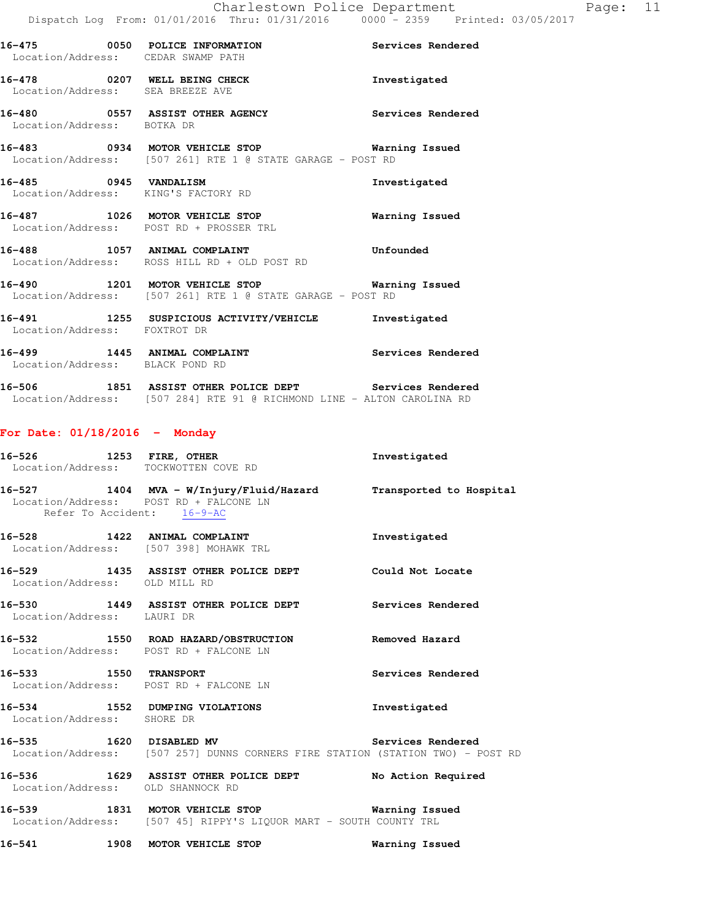| 16-475 0050 POLICE INFORMATION<br>Location/Address: CEDAR SWAMP PATH |                                                                                                                    | Services Rendered |
|----------------------------------------------------------------------|--------------------------------------------------------------------------------------------------------------------|-------------------|
| 16-478 0207 WELL BEING CHECK<br>Location/Address: SEA BREEZE AVE     |                                                                                                                    | Investigated      |
| Location/Address: BOTKA DR                                           | 16-480 6557 ASSIST OTHER AGENCY Services Rendered                                                                  |                   |
|                                                                      | Location/Address: [507 261] RTE 1 @ STATE GARAGE - POST RD                                                         |                   |
| Location/Address: KING'S FACTORY RD                                  | 16-485 0945 VANDALISM                                                                                              | Investigated      |
|                                                                      | 16-487 1026 MOTOR VEHICLE STOP<br>Location/Address: POST RD + PROSSER TRL                                          | Warning Issued    |
|                                                                      | 16-488 1057 ANIMAL COMPLAINT 16-488 Unfounded<br>Location/Address: ROSS HILL RD + OLD POST RD                      |                   |
|                                                                      | 16-490 1201 MOTOR VEHICLE STOP <b>Warning Issued</b><br>Location/Address: [507 261] RTE 1 @ STATE GARAGE - POST RD |                   |
| Location/Address: FOXTROT DR                                         | 16-491 1255 SUSPICIOUS ACTIVITY/VEHICLE Investigated                                                               |                   |
| 16-499 1445 ANIMAL COMPLAINT<br>Location/Address: BLACK POND RD      |                                                                                                                    | Services Rendered |

**16-506 1851 ASSIST OTHER POLICE DEPT Services Rendered**  Location/Address: [507 284] RTE 91 @ RICHMOND LINE - ALTON CAROLINA RD

## **For Date: 01/18/2016 - Monday**

|                                   | 16-526 1253 FIRE, OTHER<br>Location/Address: TOCKWOTTEN COVE RD                                                                | Investigated      |
|-----------------------------------|--------------------------------------------------------------------------------------------------------------------------------|-------------------|
| Refer To Accident: 16-9-AC        | 16-527 1404 MVA - W/Injury/Fluid/Hazard Transported to Hospital<br>Location/Address: POST RD + FALCONE LN                      |                   |
|                                   | 16-528 1422 ANIMAL COMPLAINT Same and the investigated<br>Location/Address: [507 398] MOHAWK TRL                               |                   |
| Location/Address: OLD MILL RD     | 16-529 1435 ASSIST OTHER POLICE DEPT Could Not Locate                                                                          |                   |
| Location/Address: LAURI DR        | 16-530 1449 ASSIST OTHER POLICE DEPT Services Rendered                                                                         |                   |
|                                   | 16-532 1550 ROAD HAZARD/OBSTRUCTION Removed Hazard<br>Location/Address: POST RD + FALCONE LN                                   |                   |
|                                   | 16-533 1550 TRANSPORT<br>Location/Address: POST RD + FALCONE LN                                                                | Services Rendered |
| Location/Address: SHORE DR        | 16-534 1552 DUMPING VIOLATIONS<br>Investigated                                                                                 |                   |
|                                   | 16-535 1620 DISABLED MV 30 Services Rendered<br>Location/Address: [507 257] DUNNS CORNERS FIRE STATION (STATION TWO) - POST RD |                   |
| Location/Address: OLD SHANNOCK RD | 16-536 1629 ASSIST OTHER POLICE DEPT No Action Required                                                                        |                   |
|                                   | 16-539 1831 MOTOR VEHICLE STOP 6 Warning Issued<br>Location/Address: [507 45] RIPPY'S LIQUOR MART - SOUTH COUNTY TRL           |                   |
|                                   | 16-541 1908 MOTOR VEHICLE STOP<br><b>Warning Issued</b>                                                                        |                   |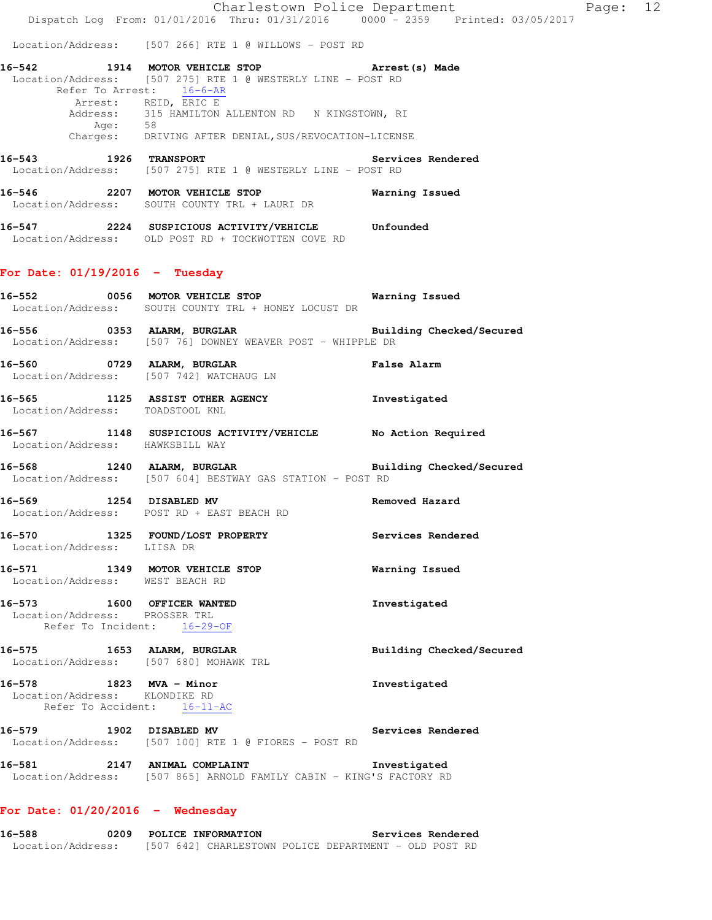Location/Address: [507 266] RTE 1 @ WILLOWS - POST RD

| 16–542   | 1914 MOTOR VEHICLE STOP                                     | Arrest (s) Made |
|----------|-------------------------------------------------------------|-----------------|
|          | Location/Address: [507 275] RTE 1 @ WESTERLY LINE - POST RD |                 |
|          | Refer To Arrest: 16-6-AR                                    |                 |
|          | Arrest: REID, ERIC E                                        |                 |
|          | Address: 315 HAMILTON ALLENTON RD N KINGSTOWN, RI           |                 |
| Age:     | 58                                                          |                 |
| Charges: | DRIVING AFTER DENIAL, SUS/REVOCATION-LICENSE                |                 |
|          |                                                             |                 |

**16-543 1926 TRANSPORT Services Rendered**  Location/Address: [507 275] RTE 1 @ WESTERLY LINE - POST RD

**16-546 2207 MOTOR VEHICLE STOP Warning Issued**  Location/Address: SOUTH COUNTY TRL + LAURI DR

**16-547 2224 SUSPICIOUS ACTIVITY/VEHICLE Unfounded**  Location/Address: OLD POST RD + TOCKWOTTEN COVE RD

### **For Date: 01/19/2016 - Tuesday**

**16-552 0056 MOTOR VEHICLE STOP Warning Issued**  Location/Address: SOUTH COUNTY TRL + HONEY LOCUST DR

**16-556 0353 ALARM, BURGLAR Building Checked/Secured**  Location/Address: [507 76] DOWNEY WEAVER POST - WHIPPLE DR

**16-560 0729 ALARM, BURGLAR False Alarm**  Location/Address: [507 742] WATCHAUG LN

**16-565 1125 ASSIST OTHER AGENCY Investigated**  Location/Address: TOADSTOOL KNL

**16-567 1148 SUSPICIOUS ACTIVITY/VEHICLE No Action Required**  Location/Address: HAWKSBILL WAY

**16-568 1240 ALARM, BURGLAR Building Checked/Secured**  Location/Address: [507 604] BESTWAY GAS STATION - POST RD

**16-569 1254 DISABLED MV Removed Hazard**  Location/Address: POST RD + EAST BEACH RD

**16-570 1325 FOUND/LOST PROPERTY Services Rendered**  Location/Address: LIISA DR

**16-571 1349 MOTOR VEHICLE STOP Warning Issued**  Location/Address: WEST BEACH RD

**16-573 1600 OFFICER WANTED Investigated**  Location/Address: PROSSER TRL Refer To Incident: 16-29-OF

16-575 1653 ALARM, BURGLAR **Building Checked/Secured** Location/Address: [507 680] MOHAWK TRL

**16-578 1823 MVA - Minor Investigated**  Location/Address: KLONDIKE RD Refer To Accident: 16-11-AC

**16-579 1902 DISABLED MV Services Rendered**  Location/Address: [507 100] RTE 1 @ FIORES - POST RD

**16-581 2147 ANIMAL COMPLAINT Investigated**  Location/Address: [507 865] ARNOLD FAMILY CABIN - KING'S FACTORY RD

## **For Date: 01/20/2016 - Wednesday**

**16-588 0209 POLICE INFORMATION Services Rendered**  Location/Address: [507 642] CHARLESTOWN POLICE DEPARTMENT - OLD POST RD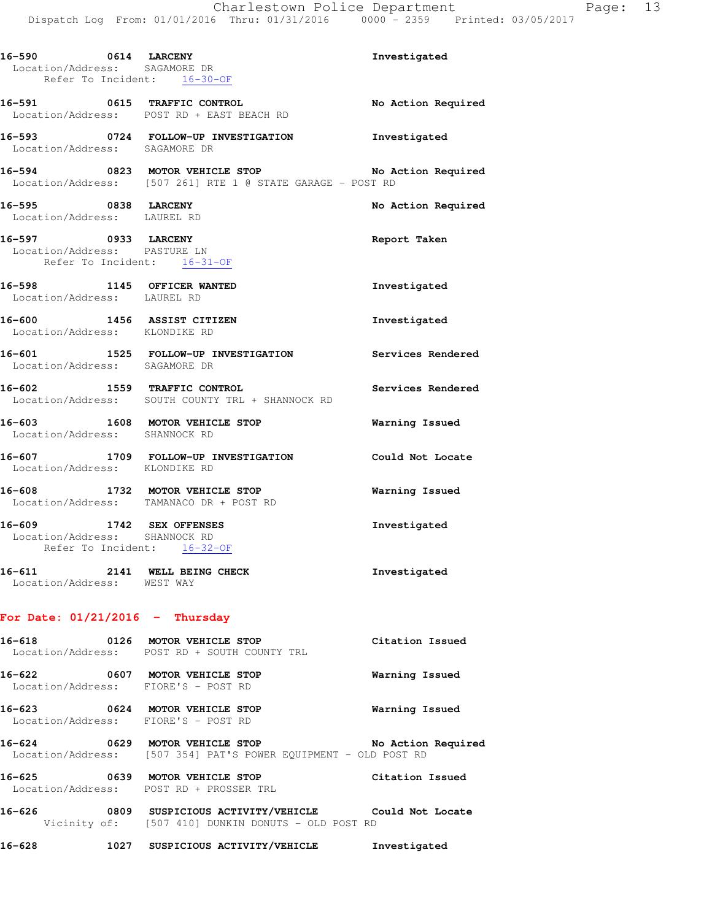| 16-590 0614 LARCENY<br>Location/Address: SAGAMORE DR | Refer To Incident: 16-30-OF                                                                                          | Investigated          |
|------------------------------------------------------|----------------------------------------------------------------------------------------------------------------------|-----------------------|
|                                                      | 16-591 0615 TRAFFIC CONTROL<br>Location/Address: POST RD + EAST BEACH RD                                             | No Action Required    |
| Location/Address: SAGAMORE DR                        | 16-593 0724 FOLLOW-UP INVESTIGATION Investigated                                                                     |                       |
|                                                      | 16-594 0823 MOTOR VEHICLE STOP No Action Required<br>Location/Address: [507 261] RTE 1 @ STATE GARAGE - POST RD      |                       |
| 16-595 0838 LARCENY<br>Location/Address: LAUREL RD   |                                                                                                                      | No Action Required    |
| 16-597 0933 LARCENY<br>Location/Address: PASTURE LN  | Refer To Incident: 16-31-OF                                                                                          | Report Taken          |
|                                                      | 16-598 1145 OFFICER WANTED<br>Location/Address: LAUREL RD                                                            | Investigated          |
| Location/Address: KLONDIKE RD                        | 16-600 1456 ASSIST CITIZEN                                                                                           | Investigated          |
|                                                      | 16-601   1525   FOLLOW-UP INVESTIGATION   Services Rendered Location/Address: SAGAMORE DR                            |                       |
|                                                      | 16-602 1559 TRAFFIC CONTROL<br>Location/Address: SOUTH COUNTY TRL + SHANNOCK RD                                      | Services Rendered     |
| Location/Address: SHANNOCK RD                        | 16-603 1608 MOTOR VEHICLE STOP                                                                                       | <b>Warning Issued</b> |
| Location/Address: KLONDIKE RD                        | 16-607 1709 FOLLOW-UP INVESTIGATION Could Not Locate                                                                 |                       |
|                                                      | 16-608 1732 MOTOR VEHICLE STOP<br>Location/Address: TAMANACO DR + POST RD                                            | <b>Warning Issued</b> |
| Location/Address: SHANNOCK RD                        | 16-609 1742 SEX OFFENSES<br>Refer To Incident: 16-32-OF                                                              | Investigated          |
| Location/Address: WEST WAY                           | 16-611 2141 WELL BEING CHECK                                                                                         | Investigated          |
| For Date: $01/21/2016$ - Thursday                    |                                                                                                                      |                       |
|                                                      | 16-618 0126 MOTOR VEHICLE STOP<br>Location/Address: POST RD + SOUTH COUNTY TRL                                       | Citation Issued       |
|                                                      | 16-622 0607 MOTOR VEHICLE STOP<br>Location/Address: FIORE'S - POST RD                                                | Warning Issued        |
|                                                      | 16-623 0624 MOTOR VEHICLE STOP<br>Location/Address: FIORE'S - POST RD                                                | Warning Issued        |
|                                                      | 16-624 0629 MOTOR VEHICLE STOP NO Action Required<br>Location/Address: [507 354] PAT'S POWER EQUIPMENT - OLD POST RD |                       |
|                                                      | 16-625 0639 MOTOR VEHICLE STOP<br>Location/Address: POST RD + PROSSER TRL                                            | Citation Issued       |

**16-626 0809 SUSPICIOUS ACTIVITY/VEHICLE Could Not Locate**  Vicinity of: [507 410] DUNKIN DONUTS - OLD POST RD

**16-628 1027 SUSPICIOUS ACTIVITY/VEHICLE Investigated**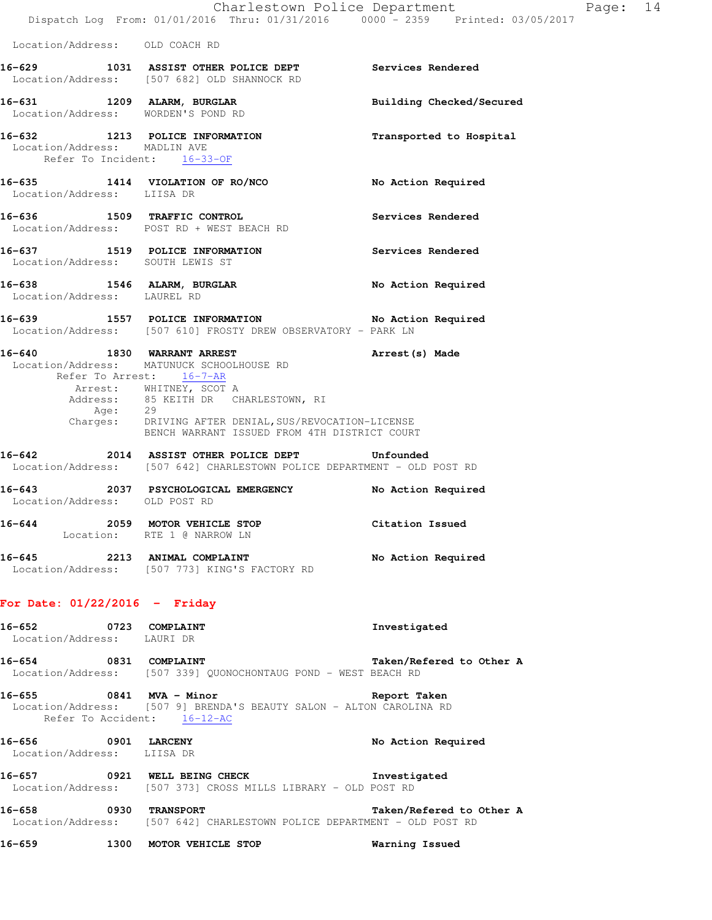Location/Address: OLD COACH RD

|                                                           | 16-629 1031 ASSIST OTHER POLICE DEPT<br>Location/Address: [507 682] OLD SHANNOCK RD | Services Rendered        |
|-----------------------------------------------------------|-------------------------------------------------------------------------------------|--------------------------|
| 16-631 1209 ALARM, BURGLAR                                | Location/Address: WORDEN'S POND RD                                                  | Building Checked/Secured |
| Location/Address: MADLIN AVE<br>Refer To Incident:        | 16-632 1213 POLICE INFORMATION<br>$16 - 33 - OF$                                    | Transported to Hospital  |
| Location/Address: LIISA DR                                | 16-635 1414 VIOLATION OF RO/NCO                                                     | No Action Required       |
| 16-636                                                    | 1509 TRAFFIC CONTROL<br>Location/Address: POST RD + WEST BEACH RD                   | Services Rendered        |
|                                                           | 16-637 1519 POLICE INFORMATION<br>Location/Address: SOUTH LEWIS ST                  | Services Rendered        |
| 16-638 1546 ALARM, BURGLAR<br>Location/Address: LAUREL RD |                                                                                     | No Action Required       |
|                                                           |                                                                                     |                          |

**16-639 1557 POLICE INFORMATION No Action Required**  Location/Address: [507 610] FROSTY DREW OBSERVATORY - PARK LN

| 16-640<br>1830 | WARRANT ARREST                               | Arrest (s) Made |
|----------------|----------------------------------------------|-----------------|
|                | Location/Address: MATUNUCK SCHOOLHOUSE RD    |                 |
|                | Refer To Arrest: 16-7-AR                     |                 |
|                | Arrest: WHITNEY, SCOT A                      |                 |
|                | Address: 85 KEITH DR CHARLESTOWN, RI         |                 |
| Age:           | 29                                           |                 |
| Charges:       | DRIVING AFTER DENIAL, SUS/REVOCATION-LICENSE |                 |
|                | BENCH WARRANT ISSUED FROM 4TH DISTRICT COURT |                 |

**16-642 2014 ASSIST OTHER POLICE DEPT Unfounded**  Location/Address: [507 642] CHARLESTOWN POLICE DEPARTMENT - OLD POST RD

| 16-643 | Location/Address: OLD POST RD | 2037 PSYCHOLOGICAL EMERGENCY                      | No Action Required |
|--------|-------------------------------|---------------------------------------------------|--------------------|
| 16–644 | 2059                          | MOTOR VEHICLE STOP<br>Location: RTE 1 @ NARROW LN | Citation Issued    |
| .      |                               |                                                   | .                  |

# **16-645 2213 ANIMAL COMPLAINT No Action Required**  Location/Address: [507 773] KING'S FACTORY RD

## **For Date: 01/22/2016 - Friday**

| 16-652            | 0723 | COMPLAINT                                    | Investigated |                          |  |
|-------------------|------|----------------------------------------------|--------------|--------------------------|--|
| Location/Address: |      | LAURI DR                                     |              |                          |  |
| 16-654            | 0831 | <b>COMPLAINT</b>                             |              | Taken/Refered to Other A |  |
| Location/Address: |      | [507 339] OUONOCHONTAUG POND - WEST BEACH RD |              |                          |  |

**16-655 0841 MVA - Minor Report Taken**  Location/Address: [507 9] BRENDA'S BEAUTY SALON - ALTON CAROLINA RD Refer To Accident: 16-12-AC

**16-656 0901 LARCENY No Action Required**  Location/Address: LIISA DR

**16-657 0921 WELL BEING CHECK Investigated**  Location/Address: [507 373] CROSS MILLS LIBRARY - OLD POST RD

**16-658 0930 TRANSPORT Taken/Refered to Other A**  Location/Address: [507 642] CHARLESTOWN POLICE DEPARTMENT - OLD POST RD

**16-659 1300 MOTOR VEHICLE STOP Warning Issued**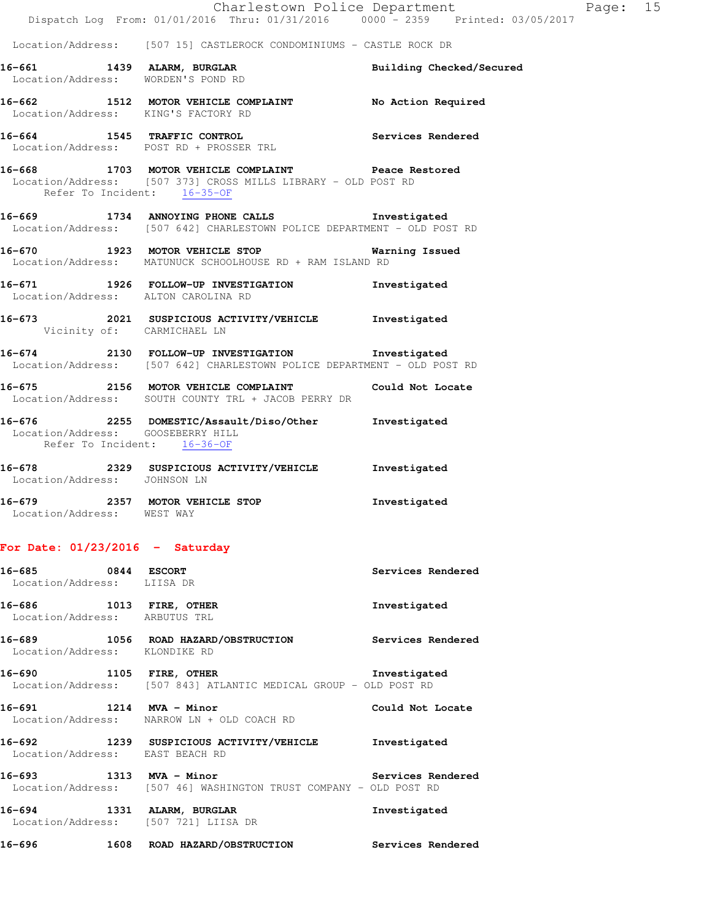#### Location/Address: [507 15] CASTLEROCK CONDOMINIUMS - CASTLE ROCK DR

**16-661 1439 ALARM, BURGLAR Building Checked/Secured**  Location/Address: WORDEN'S POND RD

**16-662 1512 MOTOR VEHICLE COMPLAINT No Action Required**  Location/Address: KING'S FACTORY RD

**16-664 1545 TRAFFIC CONTROL Services Rendered**  Location/Address: POST RD + PROSSER TRL

**16-668 1703 MOTOR VEHICLE COMPLAINT Peace Restored**  Location/Address: [507 373] CROSS MILLS LIBRARY - OLD POST RD Refer To Incident: 16-35-OF

**16-669 1734 ANNOYING PHONE CALLS Investigated**  Location/Address: [507 642] CHARLESTOWN POLICE DEPARTMENT - OLD POST RD

**16-670 1923 MOTOR VEHICLE STOP Warning Issued**  Location/Address: MATUNUCK SCHOOLHOUSE RD + RAM ISLAND RD

**16-671 1926 FOLLOW-UP INVESTIGATION Investigated**  Location/Address: ALTON CAROLINA RD

**16-673 2021 SUSPICIOUS ACTIVITY/VEHICLE Investigated**  Vicinity of: CARMICHAEL LN

**16-674 2130 FOLLOW-UP INVESTIGATION Investigated**  Location/Address: [507 642] CHARLESTOWN POLICE DEPARTMENT - OLD POST RD

**16-675 2156 MOTOR VEHICLE COMPLAINT Could Not Locate**  Location/Address: SOUTH COUNTY TRL + JACOB PERRY DR

**16-676 2255 DOMESTIC/Assault/Diso/Other Investigated**  Location/Address: GOOSEBERRY HILL Refer To Incident: 16-36-OF

**16-678 2329 SUSPICIOUS ACTIVITY/VEHICLE Investigated**  Location/Address: JOHNSON LN **16-679 2357 MOTOR VEHICLE STOP Investigated** 

Location/Address: WEST WAY

**For Date: 01/23/2016 - Saturday**

| 16-685 0844 ESCORT<br>Location/Address: LIISA DR         |                                                                                                                                   | Services Rendered |
|----------------------------------------------------------|-----------------------------------------------------------------------------------------------------------------------------------|-------------------|
| 16-686 1013 FIRE, OTHER<br>Location/Address: ARBUTUS TRL |                                                                                                                                   | Investigated      |
| Location/Address: KLONDIKE RD                            | 16-689 1056 ROAD HAZARD/OBSTRUCTION Services Rendered                                                                             |                   |
|                                                          | 16-690 1105 FIRE, OTHER 100 11 Investigated<br>Location/Address: [507 843] ATLANTIC MEDICAL GROUP - OLD POST RD                   |                   |
|                                                          | 16-691 1214 MVA - Minor<br>Location/Address: NARROW LN + OLD COACH RD                                                             | Could Not Locate  |
| Location/Address: EAST BEACH RD                          | 16-692 1239 SUSPICIOUS ACTIVITY/VEHICLE Investigated                                                                              |                   |
|                                                          | 16-693 1313 MVA - Minor Changes and Museum Services Rendered<br>Location/Address: [507 46] WASHINGTON TRUST COMPANY - OLD POST RD |                   |
| Location/Address: [507 721] LIISA DR                     | 16-694 1331 ALARM, BURGLAR                                                                                                        | Investigated      |
| $16 - 696$                                               | 1608 ROAD HAZARD/OBSTRUCTION Services Rendered                                                                                    |                   |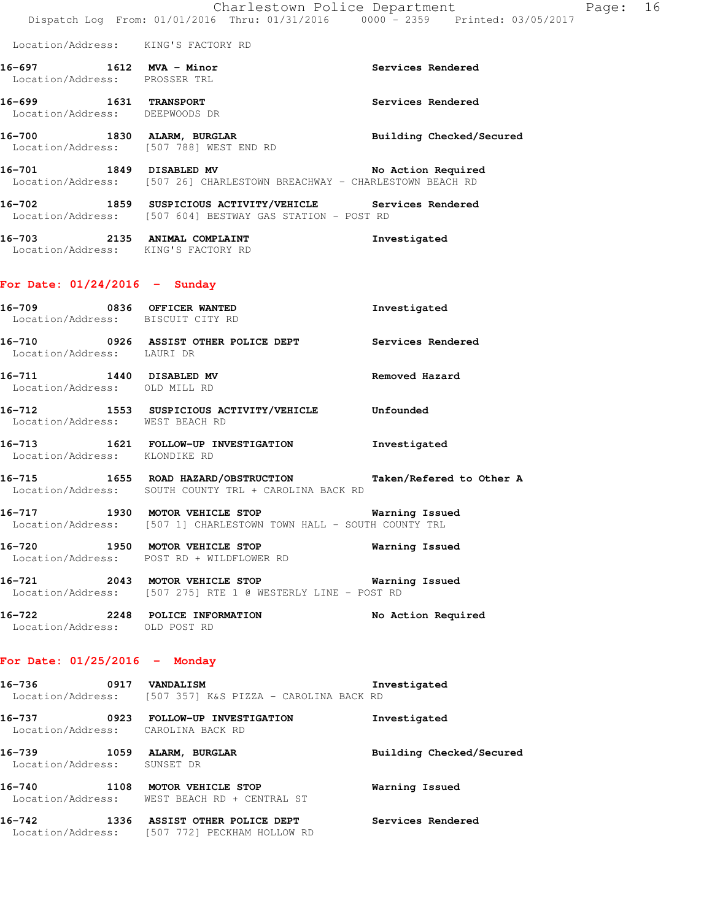#### Location/Address: KING'S FACTORY RD

- **16-697 1612 MVA Minor Services Rendered**  Location/Address: PROSSER TRL
- **16-699 1631 TRANSPORT Services Rendered**  Location/Address: DEEPWOODS DR
- 16-700 1830 ALARM, BURGLAR **Building Checked/Secured** Location/Address: [507 788] WEST END RD
- **16-701 1849 DISABLED MV No Action Required**  Location/Address: [507 26] CHARLESTOWN BREACHWAY - CHARLESTOWN BEACH RD
- **16-702 1859 SUSPICIOUS ACTIVITY/VEHICLE Services Rendered**  Location/Address: [507 604] BESTWAY GAS STATION - POST RD
- **16-703 2135 ANIMAL COMPLAINT Investigated**  Location/Address: KING'S FACTORY RD

#### **For Date: 01/24/2016 - Sunday**

- **16-709 0836 OFFICER WANTED Investigated**  Location/Address: BISCUIT CITY RD **16-710 0926 ASSIST OTHER POLICE DEPT Services Rendered**  Location/Address: LAURI DR
- **16-711 1440 DISABLED MV Removed Hazard**  Location/Address: OLD MILL RD
- **16-712 1553 SUSPICIOUS ACTIVITY/VEHICLE Unfounded**  Location/Address: WEST BEACH RD
- **16-713 1621 FOLLOW-UP INVESTIGATION Investigated**  Location/Address: KLONDIKE RD
- **16-715 1655 ROAD HAZARD/OBSTRUCTION Taken/Refered to Other A**  Location/Address: SOUTH COUNTY TRL + CAROLINA BACK RD
- **16-717 1930 MOTOR VEHICLE STOP Warning Issued**  Location/Address: [507 1] CHARLESTOWN TOWN HALL - SOUTH COUNTY TRL
- **16-720 1950 MOTOR VEHICLE STOP Warning Issued**  Location/Address: POST RD + WILDFLOWER RD
- **16-721 2043 MOTOR VEHICLE STOP Warning Issued**  Location/Address: [507 275] RTE 1 @ WESTERLY LINE - POST RD
- **16-722 2248 POLICE INFORMATION No Action Required**  Location/Address: OLD POST RD

### **For Date: 01/25/2016 - Monday**

| 16–736            | 0917 VANDALISM |  |  |                                        | Investigated |
|-------------------|----------------|--|--|----------------------------------------|--------------|
| Location/Address: |                |  |  | [507 357] K&S PIZZA - CAROLINA BACK RD |              |

**16-737 0923 FOLLOW-UP INVESTIGATION Investigated**  Location/Address: CAROLINA BACK RD **16-739 1059 ALARM, BURGLAR Building Checked/Secured**  Location/Address: SUNSET DR **16-740 1108 MOTOR VEHICLE STOP Warning Issued**  Location/Address: WEST BEACH RD + CENTRAL ST **16-742 1336 ASSIST OTHER POLICE DEPT Services Rendered**  Location/Address: [507 772] PECKHAM HOLLOW RD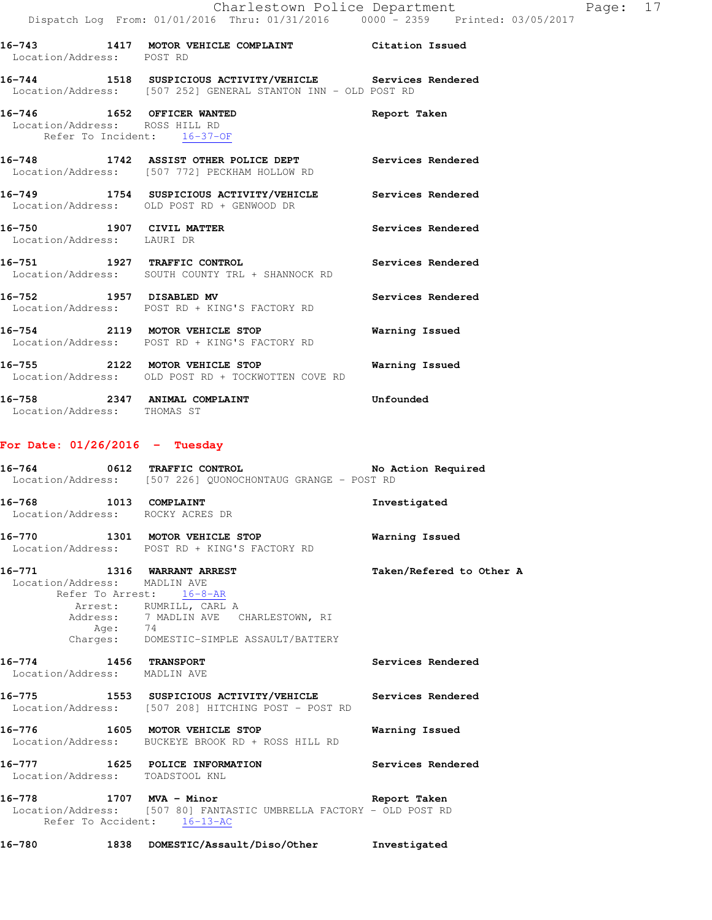|  | Report Taken                                                                                                                                                                                                                                                                                                                                                                                                                                                                                                                                                                                                                                                                                                                                                                                                                                                                                                          |
|--|-----------------------------------------------------------------------------------------------------------------------------------------------------------------------------------------------------------------------------------------------------------------------------------------------------------------------------------------------------------------------------------------------------------------------------------------------------------------------------------------------------------------------------------------------------------------------------------------------------------------------------------------------------------------------------------------------------------------------------------------------------------------------------------------------------------------------------------------------------------------------------------------------------------------------|
|  | Services Rendered                                                                                                                                                                                                                                                                                                                                                                                                                                                                                                                                                                                                                                                                                                                                                                                                                                                                                                     |
|  |                                                                                                                                                                                                                                                                                                                                                                                                                                                                                                                                                                                                                                                                                                                                                                                                                                                                                                                       |
|  | Services Rendered                                                                                                                                                                                                                                                                                                                                                                                                                                                                                                                                                                                                                                                                                                                                                                                                                                                                                                     |
|  | Services Rendered                                                                                                                                                                                                                                                                                                                                                                                                                                                                                                                                                                                                                                                                                                                                                                                                                                                                                                     |
|  | Services Rendered                                                                                                                                                                                                                                                                                                                                                                                                                                                                                                                                                                                                                                                                                                                                                                                                                                                                                                     |
|  | Warning Issued                                                                                                                                                                                                                                                                                                                                                                                                                                                                                                                                                                                                                                                                                                                                                                                                                                                                                                        |
|  | Warning Issued                                                                                                                                                                                                                                                                                                                                                                                                                                                                                                                                                                                                                                                                                                                                                                                                                                                                                                        |
|  | 16-743 1417 MOTOR VEHICLE COMPLAINT Citation Issued<br>Location/Address: POST RD<br>16-744 1518 SUSPICIOUS ACTIVITY/VEHICLE Services Rendered<br>Location/Address: [507 252] GENERAL STANTON INN - OLD POST RD<br>16-746 1652 OFFICER WANTED<br>Location/Address: ROSS HILL RD<br>Refer To Incident: 16-37-OF<br>16-748 1742 ASSIST OTHER POLICE DEPT<br>Location/Address: [507 772] PECKHAM HOLLOW RD<br>16-749 1754 SUSPICIOUS ACTIVITY/VEHICLE Services Rendered<br>Location/Address: OLD POST RD + GENWOOD DR<br>16-750 1907 CIVIL MATTER<br>Location/Address: LAURI DR<br>16-751 1927 TRAFFIC CONTROL<br>Location/Address: SOUTH COUNTY TRL + SHANNOCK RD<br>16-752 1957 DISABLED MV<br>Location/Address: POST RD + KING'S FACTORY RD<br>16-754 2119 MOTOR VEHICLE STOP<br>Location/Address: POST RD + KING'S FACTORY RD<br>16-755 2122 MOTOR VEHICLE STOP<br>Location/Address: OLD POST RD + TOCKWOTTEN COVE RD |

**16-758 2347 ANIMAL COMPLAINT Unfounded**  Location/Address: THOMAS ST

# **For Date: 01/26/2016 - Tuesday**

|                                                       | 16-764 0612 TRAFFIC CONTROL 16-764 No Action Required<br>Location/Address: [507 226] QUONOCHONTAUG GRANGE - POST RD                                                               |                          |
|-------------------------------------------------------|-----------------------------------------------------------------------------------------------------------------------------------------------------------------------------------|--------------------------|
|                                                       | 16-768 1013 COMPLAINT<br>Location/Address: ROCKY ACRES DR                                                                                                                         | Investigated             |
|                                                       | 16-770 1301 MOTOR VEHICLE STOP<br>Location/Address: POST RD + KING'S FACTORY RD                                                                                                   | Warning Issued           |
| Location/Address: MADLIN AVE                          | 16-771 1316 WARRANT ARREST<br>Refer To Arrest: 16-8-AR<br>Arrest: RUMRILL, CARL A<br>Address: 7 MADLIN AVE CHARLESTOWN, RI<br>Age: 74<br>Charges: DOMESTIC-SIMPLE ASSAULT/BATTERY | Taken/Refered to Other A |
| 16-774 1456 TRANSPORT<br>Location/Address: MADLIN AVE |                                                                                                                                                                                   | Services Rendered        |
|                                                       | 16-775 1553 SUSPICIOUS ACTIVITY/VEHICLE Services Rendered<br>Location/Address: [507 208] HITCHING POST - POST RD                                                                  |                          |
|                                                       | 16-776 1605 MOTOR VEHICLE STOP<br>Location/Address: BUCKEYE BROOK RD + ROSS HILL RD                                                                                               | Warning Issued           |
| Location/Address: TOADSTOOL KNL                       | 16-777 1625 POLICE INFORMATION Services Rendered                                                                                                                                  |                          |
|                                                       | 16-778 1707 MVA - Minor<br>Location/Address: [507 80] FANTASTIC UMBRELLA FACTORY - OLD POST RD<br>Refer To Accident: 16-13-AC                                                     | Report Taken             |

**16-780 1838 DOMESTIC/Assault/Diso/Other Investigated**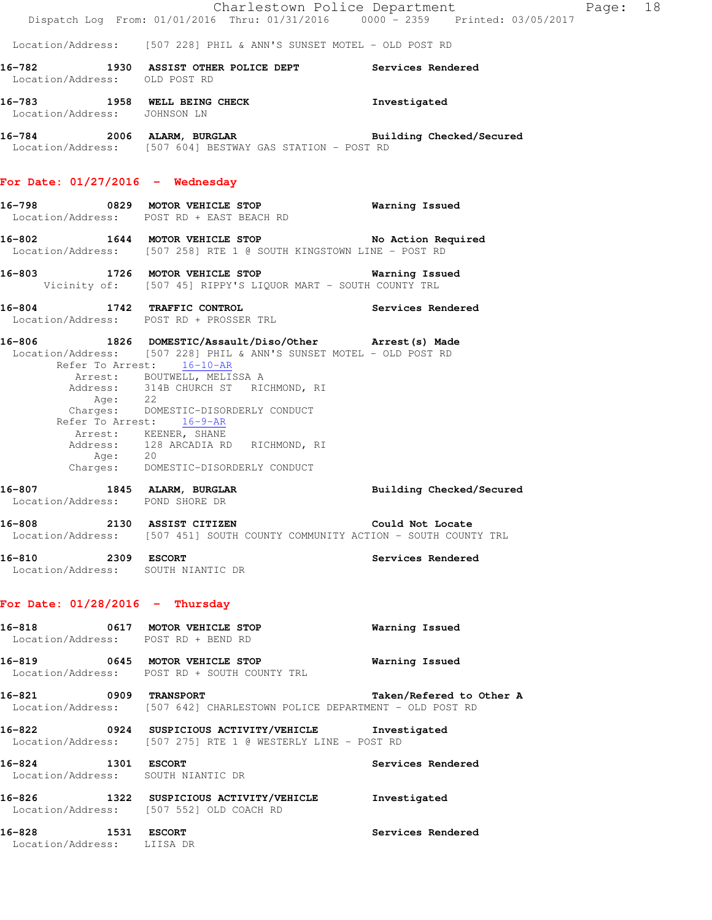|                                                          | Dispatch Log From: 01/01/2016 Thru: 01/31/2016 0000 - 2359 Printed: 03/05/2017                                                                             |                          |
|----------------------------------------------------------|------------------------------------------------------------------------------------------------------------------------------------------------------------|--------------------------|
|                                                          | Location/Address: [507 228] PHIL & ANN'S SUNSET MOTEL - OLD POST RD                                                                                        |                          |
| Location/Address: OLD POST RD                            | 16-782 1930 ASSIST OTHER POLICE DEPT Services Rendered                                                                                                     |                          |
| Location/Address: JOHNSON LN                             | 16-783 1958 WELL BEING CHECK 1 Investigated                                                                                                                |                          |
|                                                          | 16-784 2006 ALARM, BURGLAR BURGER Building Checked/Secured<br>Location/Address: [507 604] BESTWAY GAS STATION - POST RD                                    |                          |
| For Date: $01/27/2016$ - Wednesday                       |                                                                                                                                                            |                          |
|                                                          | 16-798       0829  MOTOR VEHICLE STOP           Warning Issued<br>Location/Address: POST RD + EAST BEACH RD                                                |                          |
|                                                          | 16-802 1644 MOTOR VEHICLE STOP No Action Required<br>Location/Address: [507 258] RTE 1 @ SOUTH KINGSTOWN LINE - POST RD                                    |                          |
|                                                          | 16-803 1726 MOTOR VEHICLE STOP 6 Warning Issued<br>Vicinity of: [507 45] RIPPY'S LIQUOR MART - SOUTH COUNTY TRL                                            |                          |
|                                                          | 16-804 1742 TRAFFIC CONTROL<br>Location/Address: POST RD + PROSSER TRL                                                                                     | Services Rendered        |
|                                                          | 16-806 1826 DOMESTIC/Assault/Diso/Other Arrest(s) Made<br>Location/Address: [507 228] PHIL & ANN'S SUNSET MOTEL - OLD POST RD<br>Refer To Arrest: 16-10-AR |                          |
|                                                          | Arrest: BOUTWELL, MELISSA A<br>Address: 314B CHURCH ST RICHMOND, RI<br>Age: 22<br>Charges: DOMESTIC-DISORDERLY CONDUCT                                     |                          |
|                                                          | Refer To Arrest: 16-9-AR                                                                                                                                   |                          |
| Age: 20                                                  | Arrest: KEENER, SHANE<br>Address: 128 ARCADIA RD RICHMOND, RI<br>Charges: DOMESTIC-DISORDERLY CONDUCT                                                      |                          |
| Location/Address: POND SHORE DR                          | 16-807 1845 ALARM, BURGLAR BURGLAR Building Checked/Secured                                                                                                |                          |
| 16-808                                                   | 2130 ASSIST CITIZEN<br>Location/Address: [507 451] SOUTH COUNTY COMMUNITY ACTION - SOUTH COUNTY TRL                                                        | Could Not Locate         |
| 16-810 2309 ESCORT<br>Location/Address: SOUTH NIANTIC DR |                                                                                                                                                            | Services Rendered        |
| For Date: $01/28/2016$ - Thursday                        |                                                                                                                                                            |                          |
| Location/Address: POST RD + BEND RD                      | 16-818 0617 MOTOR VEHICLE STOP                                                                                                                             | Warning Issued           |
|                                                          | 16-819 0645 MOTOR VEHICLE STOP<br>Location/Address: POST RD + SOUTH COUNTY TRL                                                                             | Warning Issued           |
| 16-821 0909 TRANSPORT                                    | Location/Address: [507 642] CHARLESTOWN POLICE DEPARTMENT - OLD POST RD                                                                                    | Taken/Refered to Other A |
| 16-822                                                   | 0924 SUSPICIOUS ACTIVITY/VEHICLE Investigated<br>Location/Address: [507 275] RTE 1 @ WESTERLY LINE - POST RD                                               |                          |
| 16-824 1301 ESCORT<br>Location/Address: SOUTH NIANTIC DR |                                                                                                                                                            | Services Rendered        |
| 16-826                                                   | 1322 SUSPICIOUS ACTIVITY/VEHICLE Tnvestigated<br>Location/Address: [507 552] OLD COACH RD                                                                  |                          |
| 16-828 1531 ESCORT<br>Location/Address: LIISA DR         |                                                                                                                                                            | Services Rendered        |
|                                                          |                                                                                                                                                            |                          |

Charlestown Police Department Page: 18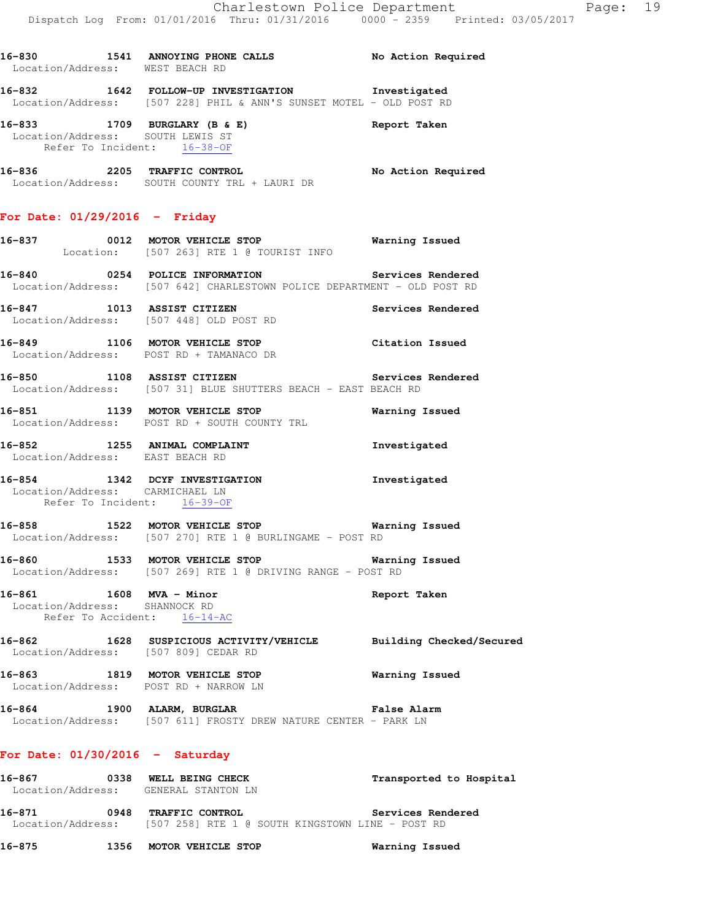**16-830 1541 ANNOYING PHONE CALLS No Action Required** 

**16-832 1642 FOLLOW-UP INVESTIGATION Investigated** 

Location/Address: WEST BEACH RD

|                                                                                         | Location/Address: [507 228] PHIL & ANN'S SUNSET MOTEL - OLD POST RD                                                      |                          |
|-----------------------------------------------------------------------------------------|--------------------------------------------------------------------------------------------------------------------------|--------------------------|
| $16-833$ 1709 BURGLARY (B & E)<br>Location/Address: SOUTH LEWIS ST                      | Refer To Incident: 16-38-OF                                                                                              | Report Taken             |
|                                                                                         | 16-836 2205 TRAFFIC CONTROL<br>Location/Address: SOUTH COUNTY TRL + LAURI DR                                             | No Action Required       |
| For Date: $01/29/2016$ - Friday                                                         |                                                                                                                          |                          |
|                                                                                         | 16-837 0012 MOTOR VEHICLE STOP<br>Location: [507 263] RTE 1 @ TOURIST INFO                                               | Warning Issued           |
|                                                                                         | 16-840 0254 POLICE INFORMATION<br>Location/Address: [507 642] CHARLESTOWN POLICE DEPARTMENT - OLD POST RD                | Services Rendered        |
|                                                                                         | 16-847 1013 ASSIST CITIZEN<br>Location/Address: [507 448] OLD POST RD                                                    | Services Rendered        |
|                                                                                         | 16-849 1106 MOTOR VEHICLE STOP<br>Location/Address: POST RD + TAMANACO DR                                                | Citation Issued          |
|                                                                                         | 16-850 1108 ASSIST CITIZEN Services Rendered<br>Location/Address: [507 31] BLUE SHUTTERS BEACH - EAST BEACH RD           |                          |
|                                                                                         | 16-851 1139 MOTOR VEHICLE STOP<br>Location/Address: POST RD + SOUTH COUNTY TRL                                           | <b>Warning Issued</b>    |
| 16-852 1255 ANIMAL COMPLAINT<br>Location/Address: EAST BEACH RD                         |                                                                                                                          | Investigated             |
| Location/Address: CARMICHAEL LN<br>Refer To Incident: 16-39-OF                          | 16-854 1342 DCYF INVESTIGATION                                                                                           | Investigated             |
|                                                                                         | 16-858 1522 MOTOR VEHICLE STOP 1997 Warning Issued<br>Location/Address: [507 270] RTE 1 @ BURLINGAME - POST RD           |                          |
|                                                                                         | 16-860 1533 MOTOR VEHICLE STOP <b>STOP</b> Warning Issued<br>Location/Address: [507 269] RTE 1 @ DRIVING RANGE - POST RD |                          |
| 16-861 1608 MVA - Minor<br>Location/Address: SHANNOCK RD<br>Refer To Accident: 16-14-AC |                                                                                                                          | Report Taken             |
| $16 - 862$<br>Location/Address: [507 809] CEDAR RD                                      | 1628 SUSPICIOUS ACTIVITY/VEHICLE                                                                                         | Building Checked/Secured |
| 16-863 1819 MOTOR VEHICLE STOP<br>Location/Address: POST RD + NARROW LN                 |                                                                                                                          | Warning Issued           |
| 16-864 1900 ALARM, BURGLAR                                                              | Location/Address: [507 611] FROSTY DREW NATURE CENTER - PARK LN                                                          | <b>False Alarm</b>       |

## **For Date: 01/30/2016 - Saturday**

| 16-867            | 0338 | WELL BEING CHECK                                 | Transported to Hospital |
|-------------------|------|--------------------------------------------------|-------------------------|
| Location/Address: |      | GENERAL STANTON LN                               |                         |
| 16-871            | 0948 | <b>TRAFFIC CONTROL</b>                           | Services Rendered       |
| Location/Address: |      | [507 258] RTE 1 @ SOUTH KINGSTOWN LINE - POST RD |                         |

**16-875 1356 MOTOR VEHICLE STOP Warning Issued**